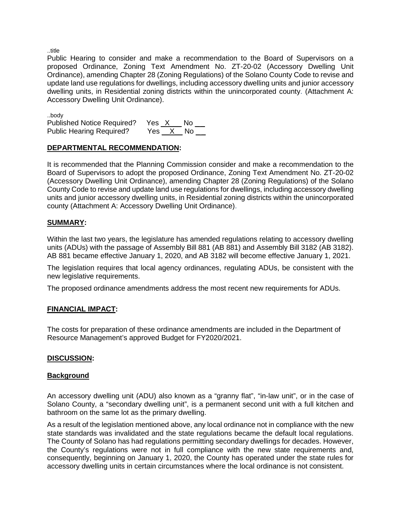..title

Public Hearing to consider and make a recommendation to the Board of Supervisors on a proposed Ordinance, Zoning Text Amendment No. ZT-20-02 (Accessory Dwelling Unit Ordinance), amending Chapter 28 (Zoning Regulations) of the Solano County Code to revise and update land use regulations for dwellings, including accessory dwelling units and junior accessory dwelling units, in Residential zoning districts within the unincorporated county. (Attachment A: Accessory Dwelling Unit Ordinance).

..body Published Notice Required? Yes \_X\_\_\_ No \_ \_ Public Hearing Required? Yes X No

# **DEPARTMENTAL RECOMMENDATION:**

It is recommended that the Planning Commission consider and make a recommendation to the Board of Supervisors to adopt the proposed Ordinance, Zoning Text Amendment No. ZT-20-02 (Accessory Dwelling Unit Ordinance), amending Chapter 28 (Zoning Regulations) of the Solano County Code to revise and update land use regulations for dwellings, including accessory dwelling units and junior accessory dwelling units, in Residential zoning districts within the unincorporated county (Attachment A: Accessory Dwelling Unit Ordinance).

# **SUMMARY:**

Within the last two years, the legislature has amended regulations relating to accessory dwelling units (ADUs) with the passage of Assembly Bill 881 (AB 881) and Assembly Bill 3182 (AB 3182). AB 881 became effective January 1, 2020, and AB 3182 will become effective January 1, 2021.

The legislation requires that local agency ordinances, regulating ADUs, be consistent with the new legislative requirements.

The proposed ordinance amendments address the most recent new requirements for ADUs.

#### **FINANCIAL IMPACT:**

The costs for preparation of these ordinance amendments are included in the Department of Resource Management's approved Budget for FY2020/2021.

#### **DISCUSSION:**

#### **Background**

An accessory dwelling unit (ADU) also known as a "granny flat", "in-law unit", or in the case of Solano County, a "secondary dwelling unit", is a permanent second unit with a full kitchen and bathroom on the same lot as the primary dwelling.

As a result of the legislation mentioned above, any local ordinance not in compliance with the new state standards was invalidated and the state regulations became the default local regulations. The County of Solano has had regulations permitting secondary dwellings for decades. However, the County's regulations were not in full compliance with the new state requirements and, consequently, beginning on January 1, 2020, the County has operated under the state rules for accessory dwelling units in certain circumstances where the local ordinance is not consistent.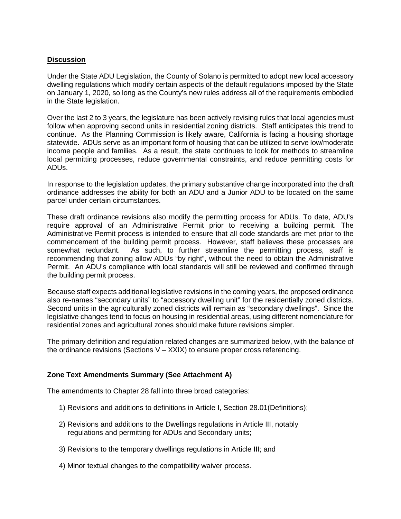#### **Discussion**

Under the State ADU Legislation, the County of Solano is permitted to adopt new local accessory dwelling regulations which modify certain aspects of the default regulations imposed by the State on January 1, 2020, so long as the County's new rules address all of the requirements embodied in the State legislation.

Over the last 2 to 3 years, the legislature has been actively revising rules that local agencies must follow when approving second units in residential zoning districts. Staff anticipates this trend to continue. As the Planning Commission is likely aware, California is facing a housing shortage statewide. ADUs serve as an important form of housing that can be utilized to serve low/moderate income people and families. As a result, the state continues to look for methods to streamline local permitting processes, reduce governmental constraints, and reduce permitting costs for ADUs.

In response to the legislation updates, the primary substantive change incorporated into the draft ordinance addresses the ability for both an ADU and a Junior ADU to be located on the same parcel under certain circumstances.

These draft ordinance revisions also modify the permitting process for ADUs. To date, ADU's require approval of an Administrative Permit prior to receiving a building permit. The Administrative Permit process is intended to ensure that all code standards are met prior to the commencement of the building permit process. However, staff believes these processes are somewhat redundant. As such, to further streamline the permitting process, staff is As such, to further streamline the permitting process, staff is recommending that zoning allow ADUs "by right", without the need to obtain the Administrative Permit. An ADU's compliance with local standards will still be reviewed and confirmed through the building permit process.

Because staff expects additional legislative revisions in the coming years, the proposed ordinance also re-names "secondary units" to "accessory dwelling unit" for the residentially zoned districts. Second units in the agriculturally zoned districts will remain as "secondary dwellings". Since the legislative changes tend to focus on housing in residential areas, using different nomenclature for residential zones and agricultural zones should make future revisions simpler.

The primary definition and regulation related changes are summarized below, with the balance of the ordinance revisions (Sections  $V - XXIX$ ) to ensure proper cross referencing.

# **Zone Text Amendments Summary (See Attachment A)**

The amendments to Chapter 28 fall into three broad categories:

- 1) Revisions and additions to definitions in Article I, Section 28.01(Definitions);
- 2) Revisions and additions to the Dwellings regulations in Article III, notably regulations and permitting for ADUs and Secondary units;
- 3) Revisions to the temporary dwellings regulations in Article III; and
- 4) Minor textual changes to the compatibility waiver process.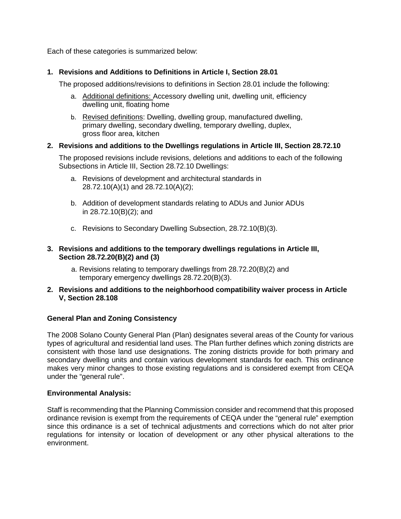Each of these categories is summarized below:

# **1. Revisions and Additions to Definitions in Article I, Section 28.01**

The proposed additions/revisions to definitions in Section 28.01 include the following:

- a. Additional definitions: Accessory dwelling unit, dwelling unit, efficiency dwelling unit, floating home
- b. Revised definitions: Dwelling, dwelling group, manufactured dwelling, primary dwelling, secondary dwelling, temporary dwelling, duplex, gross floor area, kitchen

#### **2. Revisions and additions to the Dwellings regulations in Article III, Section 28.72.10**

The proposed revisions include revisions, deletions and additions to each of the following Subsections in Article III, Section 28.72.10 Dwellings:

- a. Revisions of development and architectural standards in 28.72.10(A)(1) and 28.72.10(A)(2);
- b. Addition of development standards relating to ADUs and Junior ADUs in 28.72.10(B)(2); and
- c. Revisions to Secondary Dwelling Subsection, 28.72.10(B)(3).

# **3. Revisions and additions to the temporary dwellings regulations in Article III, Section 28.72.20(B)(2) and (3)**

- a. Revisions relating to temporary dwellings from 28.72.20(B)(2) and temporary emergency dwellings 28.72.20(B)(3).
- **2. Revisions and additions to the neighborhood compatibility waiver process in Article V, Section 28.108**

# **General Plan and Zoning Consistency**

The 2008 Solano County General Plan (Plan) designates several areas of the County for various types of agricultural and residential land uses. The Plan further defines which zoning districts are consistent with those land use designations. The zoning districts provide for both primary and secondary dwelling units and contain various development standards for each. This ordinance makes very minor changes to those existing regulations and is considered exempt from CEQA under the "general rule".

# **Environmental Analysis:**

Staff is recommending that the Planning Commission consider and recommend that this proposed ordinance revision is exempt from the requirements of CEQA under the "general rule" exemption since this ordinance is a set of technical adjustments and corrections which do not alter prior regulations for intensity or location of development or any other physical alterations to the environment.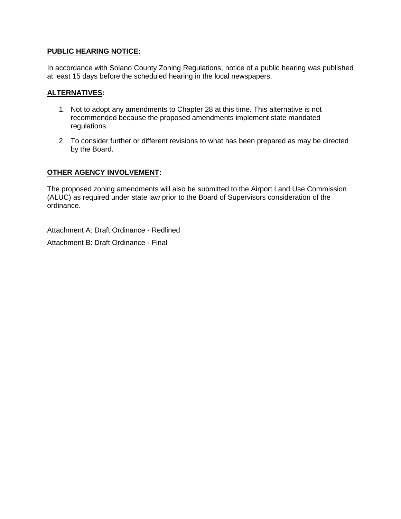# **PUBLIC HEARING NOTICE:**

In accordance with Solano County Zoning Regulations, notice of a public hearing was published at least 15 days before the scheduled hearing in the local newspapers.

#### **ALTERNATIVES:**

- 1. Not to adopt any amendments to Chapter 28 at this time. This alternative is not recommended because the proposed amendments implement state mandated regulations.
- 2. To consider further or different revisions to what has been prepared as may be directed by the Board.

#### **OTHER AGENCY INVOLVEMENT:**

The proposed zoning amendments will also be submitted to the Airport Land Use Commission (ALUC) as required under state law prior to the Board of Supervisors consideration of the ordinance.

Attachment A: Draft Ordinance - Redlined Attachment B: Draft Ordinance - Final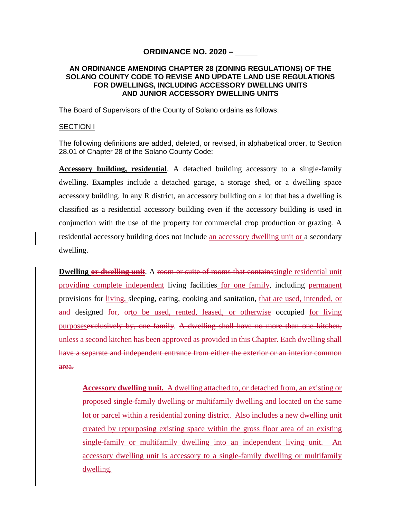# **ORDINANCE NO. 2020 – \_\_\_\_\_**

#### **AN ORDINANCE AMENDING CHAPTER 28 (ZONING REGULATIONS) OF THE SOLANO COUNTY CODE TO REVISE AND UPDATE LAND USE REGULATIONS FOR DWELLINGS, INCLUDING ACCESSORY DWELLNG UNITS AND JUNIOR ACCESSORY DWELLING UNITS**

The Board of Supervisors of the County of Solano ordains as follows:

#### SECTION I

The following definitions are added, deleted, or revised, in alphabetical order, to Section 28.01 of Chapter 28 of the Solano County Code:

**Accessory building, residential**. A detached building accessory to a single-family dwelling. Examples include a detached garage, a storage shed, or a dwelling space accessory building. In any R district, an accessory building on a lot that has a dwelling is classified as a residential accessory building even if the accessory building is used in conjunction with the use of the property for commercial crop production or grazing. A residential accessory building does not include an accessory dwelling unit or a secondary dwelling.

**Dwelling or dwelling unit**. A room or suite of rooms that contains single residential unit providing complete independent living facilities for one family, including permanent provisions for living, sleeping, eating, cooking and sanitation, that are used, intended, or and designed for, orto be used, rented, leased, or otherwise occupied for living purposesexclusively by, one family. A dwelling shall have no more than one kitchen, unless a second kitchen has been approved as provided in this Chapter. Each dwelling shall have a separate and independent entrance from either the exterior or an interior common area.

**Accessory dwelling unit.** A dwelling attached to, or detached from, an existing or proposed single-family dwelling or multifamily dwelling and located on the same lot or parcel within a residential zoning district. Also includes a new dwelling unit created by repurposing existing space within the gross floor area of an existing single-family or multifamily dwelling into an independent living unit. An accessory dwelling unit is accessory to a single-family dwelling or multifamily dwelling.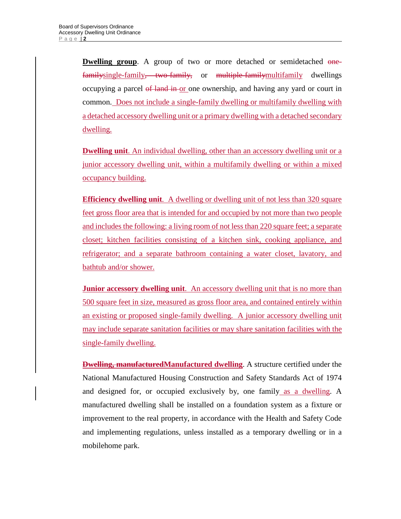**Dwelling group.** A group of two or more detached or semidetached onefamilysingle-family, two-family, or multiple-familymultifamily dwellings occupying a parcel of land in or one ownership, and having any yard or court in common. Does not include a single-family dwelling or multifamily dwelling with a detached accessory dwelling unit or a primary dwelling with a detached secondary dwelling.

**Dwelling unit**. An individual dwelling, other than an accessory dwelling unit or a junior accessory dwelling unit, within a multifamily dwelling or within a mixed occupancy building.

**Efficiency dwelling unit.** A dwelling or dwelling unit of not less than 320 square feet gross floor area that is intended for and occupied by not more than two people and includes the following: a living room of not less than 220 square feet; a separate closet; kitchen facilities consisting of a kitchen sink, cooking appliance, and refrigerator; and a separate bathroom containing a water closet, lavatory, and bathtub and/or shower.

**Junior accessory dwelling unit**. An accessory dwelling unit that is no more than 500 square feet in size, measured as gross floor area, and contained entirely within an existing or proposed single-family dwelling. A junior accessory dwelling unit may include separate sanitation facilities or may share sanitation facilities with the single-family dwelling.

**Dwelling, manufacturedManufactured dwelling**. A structure certified under the National Manufactured Housing Construction and Safety Standards Act of 1974 and designed for, or occupied exclusively by, one family as a dwelling. A manufactured dwelling shall be installed on a foundation system as a fixture or improvement to the real property, in accordance with the Health and Safety Code and implementing regulations, unless installed as a temporary dwelling or in a mobilehome park.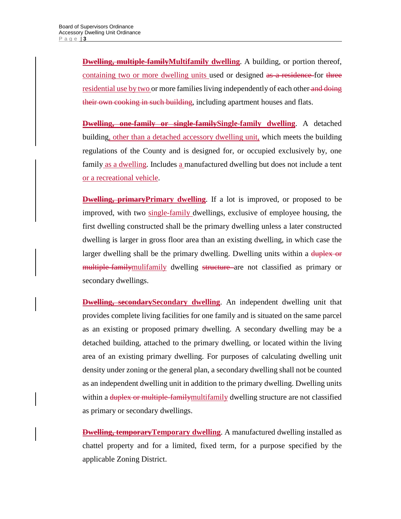**Dwelling, multiple-familyMultifamily dwelling**. A building, or portion thereof, containing two or more dwelling units used or designed as a residence for three residential use by two or more families living independently of each other and doing their own cooking in such building, including apartment houses and flats.

**Dwelling, one-family or single-familySingle-family dwelling**. A detached building, other than a detached accessory dwelling unit, which meets the building regulations of the County and is designed for, or occupied exclusively by, one family as a dwelling. Includes a manufactured dwelling but does not include a tent or a recreational vehicle.

**Dwelling, primaryPrimary dwelling**. If a lot is improved, or proposed to be improved, with two single-family dwellings, exclusive of employee housing, the first dwelling constructed shall be the primary dwelling unless a later constructed dwelling is larger in gross floor area than an existing dwelling, in which case the larger dwelling shall be the primary dwelling. Dwelling units within a duplex or multiple-familymulifamily dwelling structure are not classified as primary or secondary dwellings.

**Dwelling, secondarySecondary dwelling**. An independent dwelling unit that provides complete living facilities for one family and is situated on the same parcel as an existing or proposed primary dwelling. A secondary dwelling may be a detached building, attached to the primary dwelling, or located within the living area of an existing primary dwelling. For purposes of calculating dwelling unit density under zoning or the general plan, a secondary dwelling shall not be counted as an independent dwelling unit in addition to the primary dwelling. Dwelling units within a <del>duplex or multiple-family</del>multifamily dwelling structure are not classified as primary or secondary dwellings.

**Dwelling, temporary Temporary dwelling**. A manufactured dwelling installed as chattel property and for a limited, fixed term, for a purpose specified by the applicable Zoning District.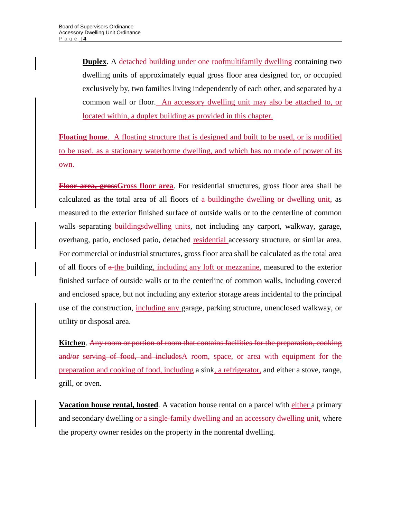**Duplex**. A detached building under one roofmultifamily dwelling containing two dwelling units of approximately equal gross floor area designed for, or occupied exclusively by, two families living independently of each other, and separated by a common wall or floor. An accessory dwelling unit may also be attached to, or located within, a duplex building as provided in this chapter.

**Floating home**. A floating structure that is designed and built to be used, or is modified to be used, as a stationary waterborne dwelling, and which has no mode of power of its own.

**Floor area, grossGross floor area**. For residential structures, gross floor area shall be calculated as the total area of all floors of a buildingthe dwelling or dwelling unit, as measured to the exterior finished surface of outside walls or to the centerline of common walls separating buildingsdwelling units, not including any carport, walkway, garage, overhang, patio, enclosed patio, detached residential accessory structure, or similar area. For commercial or industrial structures, gross floor area shall be calculated as the total area of all floors of a-the building, including any loft or mezzanine, measured to the exterior finished surface of outside walls or to the centerline of common walls, including covered and enclosed space, but not including any exterior storage areas incidental to the principal use of the construction, including any garage, parking structure, unenclosed walkway, or utility or disposal area.

**Kitchen**. Any room or portion of room that contains facilities for the preparation, cooking and/or serving of food, and includesA room, space, or area with equipment for the preparation and cooking of food, including a sink, a refrigerator, and either a stove, range, grill, or oven.

**Vacation house rental, hosted**. A vacation house rental on a parcel with either a primary and secondary dwelling or a single-family dwelling and an accessory dwelling unit, where the property owner resides on the property in the nonrental dwelling.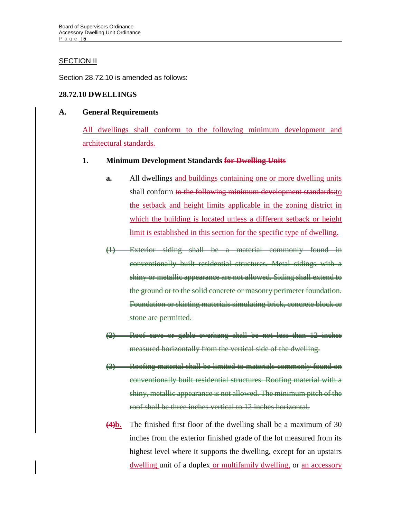# **SECTION II**

Section 28.72.10 is amended as follows:

# **28.72.10 DWELLINGS**

# **A. General Requirements**

All dwellings shall conform to the following minimum development and architectural standards.

# **1. Minimum Development Standards for Dwelling Units**

- **a.** All dwellings and buildings containing one or more dwelling units shall conform to the following minimum development standards: to the setback and height limits applicable in the zoning district in which the building is located unless a different setback or height limit is established in this section for the specific type of dwelling.
- **(1)** Exterior siding shall be a material commonly found in conventionally built residential structures. Metal sidings with a shiny or metallic appearance are not allowed. Siding shall extend to the ground or to the solid concrete or masonry perimeter foundation. Foundation or skirting materials simulating brick, concrete block or stone are permitted.
- **(2)** Roof eave or gable overhang shall be not less than 12 inches measured horizontally from the vertical side of the dwelling.
- **(3)** Roofing material shall be limited to materials commonly found on conventionally built residential structures. Roofing material with a shiny, metallic appearance is not allowed. The minimum pitch of the roof shall be three inches vertical to 12 inches horizontal.
- **(4)b.** The finished first floor of the dwelling shall be a maximum of 30 inches from the exterior finished grade of the lot measured from its highest level where it supports the dwelling, except for an upstairs dwelling unit of a duplex or multifamily dwelling, or an accessory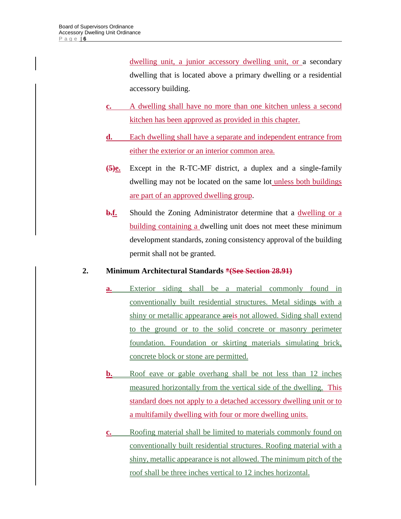dwelling unit, a junior accessory dwelling unit, or a secondary dwelling that is located above a primary dwelling or a residential accessory building.

- **c.** A dwelling shall have no more than one kitchen unless a second kitchen has been approved as provided in this chapter.
- **d.** Each dwelling shall have a separate and independent entrance from either the exterior or an interior common area.
- **(5)e.** Except in the R-TC-MF district, a duplex and a single-family dwelling may not be located on the same lot unless both buildings are part of an approved dwelling group.
- **b.f.** Should the Zoning Administrator determine that a dwelling or a building containing a dwelling unit does not meet these minimum development standards, zoning consistency approval of the building permit shall not be granted.

# **2. Minimum Architectural Standards \*(See Section 28.91)**

- **a.** Exterior siding shall be a material commonly found in conventionally built residential structures. Metal sidings with a shiny or metallic appearance areis not allowed. Siding shall extend to the ground or to the solid concrete or masonry perimeter foundation. Foundation or skirting materials simulating brick, concrete block or stone are permitted.
- **b.** Roof eave or gable overhang shall be not less than 12 inches measured horizontally from the vertical side of the dwelling. This standard does not apply to a detached accessory dwelling unit or to a multifamily dwelling with four or more dwelling units.
- **c.** Roofing material shall be limited to materials commonly found on conventionally built residential structures. Roofing material with a shiny, metallic appearance is not allowed. The minimum pitch of the roof shall be three inches vertical to 12 inches horizontal.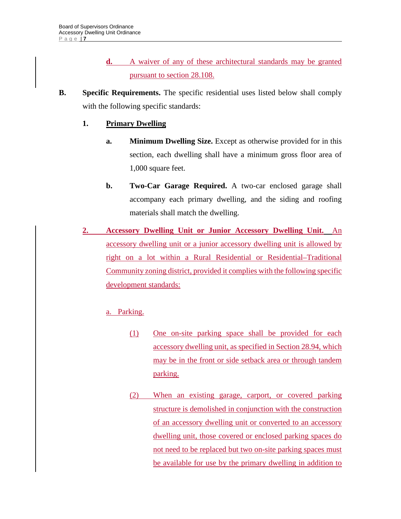- **d.** A waiver of any of these architectural standards may be granted pursuant to section 28.108.
- **B. Specific Requirements.** The specific residential uses listed below shall comply with the following specific standards:

# **1. Primary Dwelling**

- **a.** Minimum Dwelling Size. Except as otherwise provided for in this section, each dwelling shall have a minimum gross floor area of 1,000 square feet.
- **b.** Two-Car Garage Required. A two-car enclosed garage shall accompany each primary dwelling, and the siding and roofing materials shall match the dwelling.
- **2. Accessory Dwelling Unit or Junior Accessory Dwelling Unit.** An accessory dwelling unit or a junior accessory dwelling unit is allowed by right on a lot within a Rural Residential or Residential–Traditional Community zoning district, provided it complies with the following specific development standards:

# a. Parking.

- (1) One on-site parking space shall be provided for each accessory dwelling unit, as specified in Section 28.94, which may be in the front or side setback area or through tandem parking.
- (2) When an existing garage, carport, or covered parking structure is demolished in conjunction with the construction of an accessory dwelling unit or converted to an accessory dwelling unit, those covered or enclosed parking spaces do not need to be replaced but two on-site parking spaces must be available for use by the primary dwelling in addition to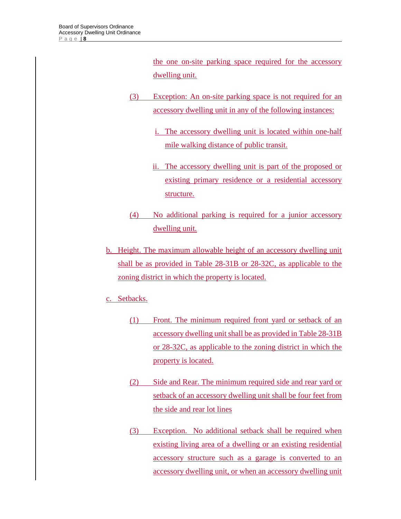the one on-site parking space required for the accessory dwelling unit.

- (3) Exception: An on-site parking space is not required for an accessory dwelling unit in any of the following instances:
	- i. The accessory dwelling unit is located within one-half mile walking distance of public transit.
	- ii. The accessory dwelling unit is part of the proposed or existing primary residence or a residential accessory structure.
- (4) No additional parking is required for a junior accessory dwelling unit.
- b. Height. The maximum allowable height of an accessory dwelling unit shall be as provided in Table 28-31B or 28-32C, as applicable to the zoning district in which the property is located.
- c. Setbacks.
	- (1) Front. The minimum required front yard or setback of an accessory dwelling unit shall be as provided in Table 28-31B or 28-32C, as applicable to the zoning district in which the property is located.
	- (2) Side and Rear. The minimum required side and rear yard or setback of an accessory dwelling unit shall be four feet from the side and rear lot lines
	- (3) Exception. No additional setback shall be required when existing living area of a dwelling or an existing residential accessory structure such as a garage is converted to an accessory dwelling unit, or when an accessory dwelling unit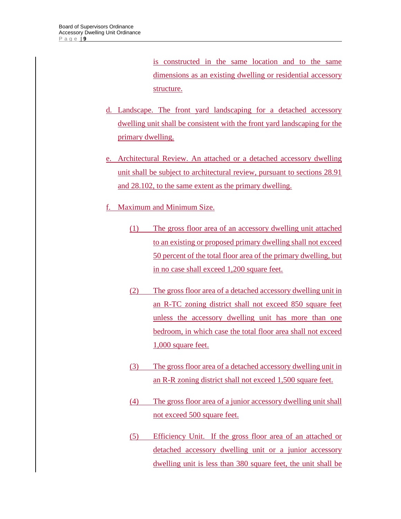is constructed in the same location and to the same dimensions as an existing dwelling or residential accessory structure.

- d. Landscape. The front yard landscaping for a detached accessory dwelling unit shall be consistent with the front yard landscaping for the primary dwelling.
- e. Architectural Review. An attached or a detached accessory dwelling unit shall be subject to architectural review, pursuant to sections 28.91 and 28.102, to the same extent as the primary dwelling.
- f. Maximum and Minimum Size.
	- (1) The gross floor area of an accessory dwelling unit attached to an existing or proposed primary dwelling shall not exceed 50 percent of the total floor area of the primary dwelling, but in no case shall exceed 1,200 square feet.
	- (2) The gross floor area of a detached accessory dwelling unit in an R-TC zoning district shall not exceed 850 square feet unless the accessory dwelling unit has more than one bedroom, in which case the total floor area shall not exceed 1,000 square feet.
	- (3) The gross floor area of a detached accessory dwelling unit in an R-R zoning district shall not exceed 1,500 square feet.
	- (4) The gross floor area of a junior accessory dwelling unit shall not exceed 500 square feet.
	- (5) Efficiency Unit. If the gross floor area of an attached or detached accessory dwelling unit or a junior accessory dwelling unit is less than 380 square feet, the unit shall be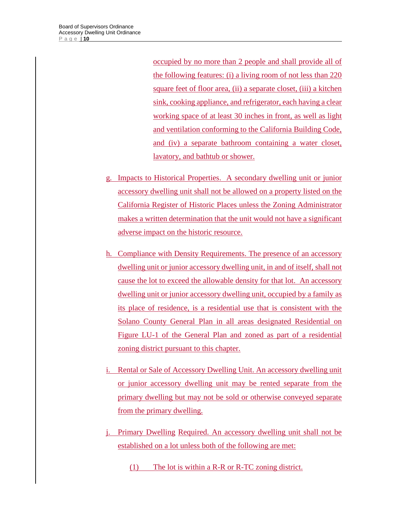occupied by no more than 2 people and shall provide all of the following features: (i) a living room of not less than 220 square feet of floor area, (ii) a separate closet, (iii) a kitchen sink, cooking appliance, and refrigerator, each having a clear working space of at least 30 inches in front, as well as light and ventilation conforming to the California Building Code, and (iv) a separate bathroom containing a water closet, lavatory, and bathtub or shower.

- g. Impacts to Historical Properties. A secondary dwelling unit or junior accessory dwelling unit shall not be allowed on a property listed on the California Register of Historic Places unless the Zoning Administrator makes a written determination that the unit would not have a significant adverse impact on the historic resource.
- h. Compliance with Density Requirements. The presence of an accessory dwelling unit or junior accessory dwelling unit, in and of itself, shall not cause the lot to exceed the allowable density for that lot. An accessory dwelling unit or junior accessory dwelling unit, occupied by a family as its place of residence, is a residential use that is consistent with the Solano County General Plan in all areas designated Residential on Figure LU-1 of the General Plan and zoned as part of a residential zoning district pursuant to this chapter.
- i. Rental or Sale of Accessory Dwelling Unit. An accessory dwelling unit or junior accessory dwelling unit may be rented separate from the primary dwelling but may not be sold or otherwise conveyed separate from the primary dwelling.
- j. Primary Dwelling Required. An accessory dwelling unit shall not be established on a lot unless both of the following are met:
	- (1) The lot is within a R-R or R-TC zoning district.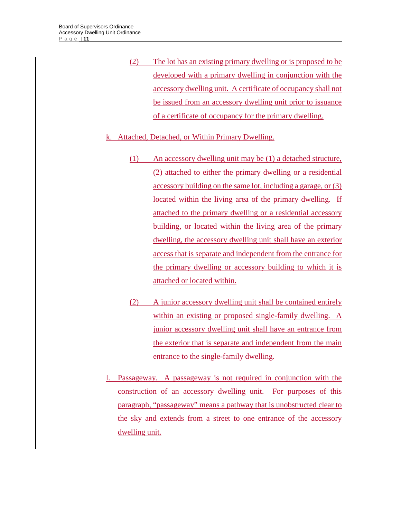(2) The lot has an existing primary dwelling or is proposed to be developed with a primary dwelling in conjunction with the accessory dwelling unit. A certificate of occupancy shall not be issued from an accessory dwelling unit prior to issuance of a certificate of occupancy for the primary dwelling.

# k. Attached, Detached, or Within Primary Dwelling.

- (1) An accessory dwelling unit may be (1) a detached structure, (2) attached to either the primary dwelling or a residential accessory building on the same lot, including a garage, or (3) located within the living area of the primary dwelling. If attached to the primary dwelling or a residential accessory building, or located within the living area of the primary dwelling, the accessory dwelling unit shall have an exterior access that is separate and independent from the entrance for the primary dwelling or accessory building to which it is attached or located within.
- (2) A junior accessory dwelling unit shall be contained entirely within an existing or proposed single-family dwelling. A junior accessory dwelling unit shall have an entrance from the exterior that is separate and independent from the main entrance to the single-family dwelling.
- l. Passageway. A passageway is not required in conjunction with the construction of an accessory dwelling unit. For purposes of this paragraph, "passageway" means a pathway that is unobstructed clear to the sky and extends from a street to one entrance of the accessory dwelling unit.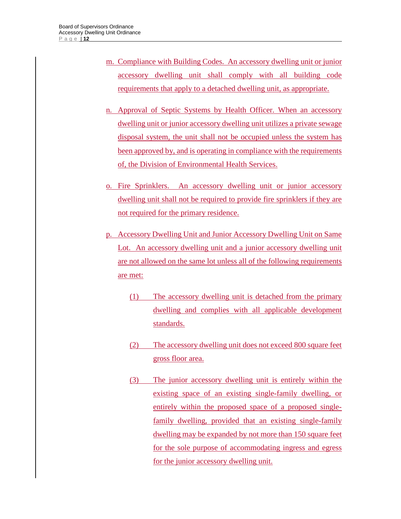- m. Compliance with Building Codes. An accessory dwelling unit or junior accessory dwelling unit shall comply with all building code requirements that apply to a detached dwelling unit, as appropriate.
- n. Approval of Septic Systems by Health Officer. When an accessory dwelling unit or junior accessory dwelling unit utilizes a private sewage disposal system, the unit shall not be occupied unless the system has been approved by, and is operating in compliance with the requirements of, the Division of Environmental Health Services.
- o. Fire Sprinklers. An accessory dwelling unit or junior accessory dwelling unit shall not be required to provide fire sprinklers if they are not required for the primary residence.
- p. Accessory Dwelling Unit and Junior Accessory Dwelling Unit on Same Lot. An accessory dwelling unit and a junior accessory dwelling unit are not allowed on the same lot unless all of the following requirements are met:
	- (1) The accessory dwelling unit is detached from the primary dwelling and complies with all applicable development standards.
	- (2) The accessory dwelling unit does not exceed 800 square feet gross floor area.
	- (3) The junior accessory dwelling unit is entirely within the existing space of an existing single-family dwelling, or entirely within the proposed space of a proposed singlefamily dwelling, provided that an existing single-family dwelling may be expanded by not more than 150 square feet for the sole purpose of accommodating ingress and egress for the junior accessory dwelling unit.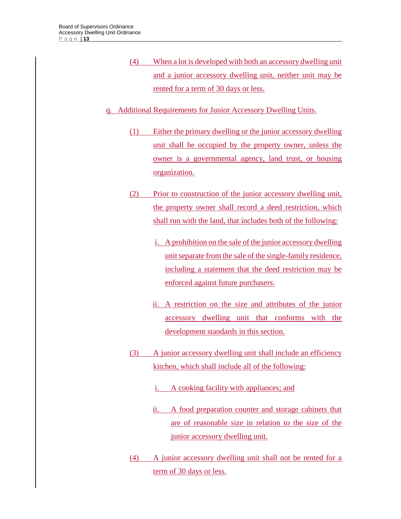- (4) When a lot is developed with both an accessory dwelling unit and a junior accessory dwelling unit, neither unit may be rented for a term of 30 days or less.
- q. Additional Requirements for Junior Accessory Dwelling Units.
	- (1) Either the primary dwelling or the junior accessory dwelling unit shall be occupied by the property owner, unless the owner is a governmental agency, land trust, or housing organization.
	- (2) Prior to construction of the junior accessory dwelling unit, the property owner shall record a deed restriction, which shall run with the land, that includes both of the following:
		- i. A prohibition on the sale of the junior accessory dwelling unit separate from the sale of the single-family residence, including a statement that the deed restriction may be enforced against future purchasers.
		- ii. A restriction on the size and attributes of the junior accessory dwelling unit that conforms with the development standards in this section.
	- (3) A junior accessory dwelling unit shall include an efficiency kitchen, which shall include all of the following:
		- i. A cooking facility with appliances; and
		- ii. A food preparation counter and storage cabinets that are of reasonable size in relation to the size of the junior accessory dwelling unit.
	- (4) A junior accessory dwelling unit shall not be rented for a term of 30 days or less.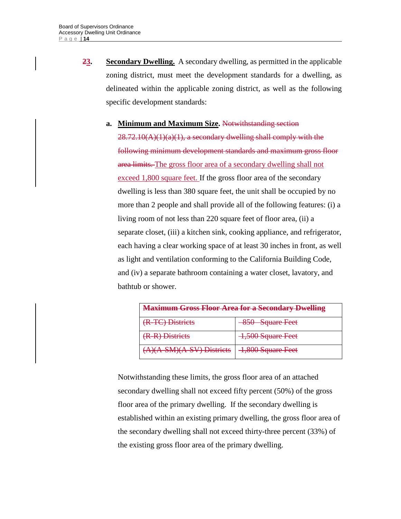**23. Secondary Dwelling.** A secondary dwelling*,* as permitted in the applicable zoning district, must meet the development standards for a dwelling, as delineated within the applicable zoning district, as well as the following specific development standards:

# **a. Minimum and Maximum Size.** Notwithstanding section  $28.72.10(A)(1)(a)(1)$ , a secondary dwelling shall comply with the following minimum development standards and maximum gross floor area limits. The gross floor area of a secondary dwelling shall not exceed 1,800 square feet. If the gross floor area of the secondary dwelling is less than 380 square feet, the unit shall be occupied by no more than 2 people and shall provide all of the following features: (i) a living room of not less than 220 square feet of floor area, (ii) a separate closet, (iii) a kitchen sink, cooking appliance, and refrigerator, each having a clear working space of at least 30 inches in front, as well as light and ventilation conforming to the California Building Code, and (iv) a separate bathroom containing a water closet, lavatory, and bathtub or shower.

| <b>Maximum Gross Floor Area for a Secondary Dwelling</b> |                   |  |  |  |  |
|----------------------------------------------------------|-------------------|--|--|--|--|
| (R-TC) Districts                                         | 850 Square Feet   |  |  |  |  |
| (R-R) Districts                                          | 1,500 Square Feet |  |  |  |  |
| (A)(A-SM)(A-SV) Districts                                | 1,800 Square Feet |  |  |  |  |

Notwithstanding these limits, the gross floor area of an attached secondary dwelling shall not exceed fifty percent (50%) of the gross floor area of the primary dwelling. If the secondary dwelling is established within an existing primary dwelling, the gross floor area of the secondary dwelling shall not exceed thirty-three percent (33%) of the existing gross floor area of the primary dwelling.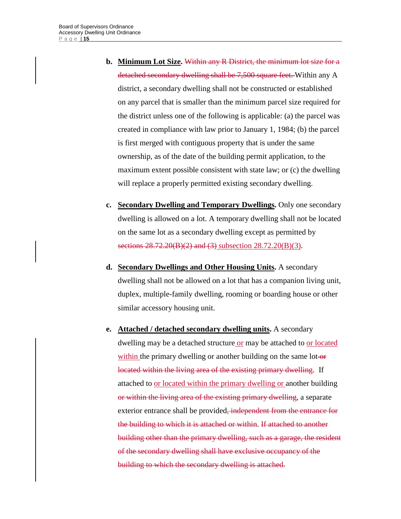- **b. Minimum Lot Size.** Within any R District, the minimum lot size for a detached secondary dwelling shall be 7,500 square feet. Within any A district, a secondary dwelling shall not be constructed or established on any parcel that is smaller than the minimum parcel size required for the district unless one of the following is applicable: (a) the parcel was created in compliance with law prior to January 1, 1984; (b) the parcel is first merged with contiguous property that is under the same ownership, as of the date of the building permit application, to the maximum extent possible consistent with state law; or (c) the dwelling will replace a properly permitted existing secondary dwelling.
- **c. Secondary Dwelling and Temporary Dwellings.** Only one secondary dwelling is allowed on a lot. A temporary dwelling shall not be located on the same lot as a secondary dwelling except as permitted by sections 28.72.20(B)(2) and (3) subsection 28.72.20(B)(3).
- **d. Secondary Dwellings and Other Housing Units.** A secondary dwelling shall not be allowed on a lot that has a companion living unit, duplex, multiple-family dwelling, rooming or boarding house or other similar accessory housing unit.
- **e. Attached / detached secondary dwelling units.** A secondary dwelling may be a detached structure or may be attached to or located within the primary dwelling or another building on the same lot-or located within the living area of the existing primary dwelling. If attached to or located within the primary dwelling or another building or within the living area of the existing primary dwelling, a separate exterior entrance shall be provided, independent from the entrance for the building to which it is attached or within. If attached to another building other than the primary dwelling, such as a garage, the resident of the secondary dwelling shall have exclusive occupancy of the building to which the secondary dwelling is attached.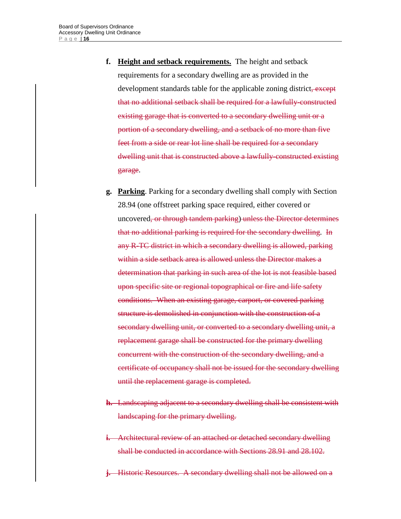- **f. Height and setback requirements.** The height and setback requirements for a secondary dwelling are as provided in the development standards table for the applicable zoning district, except that no additional setback shall be required for a lawfully-constructed existing garage that is converted to a secondary dwelling unit or a portion of a secondary dwelling, and a setback of no more than five feet from a side or rear lot line shall be required for a secondary dwelling unit that is constructed above a lawfully-constructed existing garage.
- **g. Parking**. Parking for a secondary dwelling shall comply with Section 28.94 (one offstreet parking space required, either covered or uncovered, or through tandem parking) unless the Director determines that no additional parking is required for the secondary dwelling. In any R-TC district in which a secondary dwelling is allowed, parking within a side setback area is allowed unless the Director makes a determination that parking in such area of the lot is not feasible based upon specific site or regional topographical or fire and life safety conditions. When an existing garage, carport, or covered parking structure is demolished in conjunction with the construction of a secondary dwelling unit, or converted to a secondary dwelling unit, a replacement garage shall be constructed for the primary dwelling concurrent with the construction of the secondary dwelling, and a certificate of occupancy shall not be issued for the secondary dwelling until the replacement garage is completed.
- **h.** Landscaping adjacent to a secondary dwelling shall be consistent with landscaping for the primary dwelling.
- **i.** Architectural review of an attached or detached secondary dwelling shall be conducted in accordance with Sections 28.91 and 28.102.
- **j.** Historic Resources. A secondary dwelling shall not be allowed on a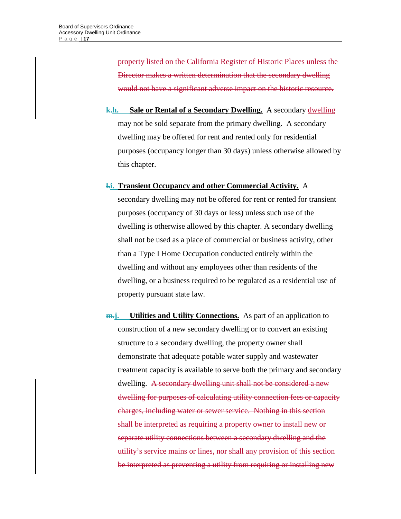property listed on the California Register of Historic Places unless the Director makes a written determination that the secondary dwelling would not have a significant adverse impact on the historic resource.

**k.h. Sale or Rental of a Secondary Dwelling.** A secondary dwelling may not be sold separate from the primary dwelling. A secondary dwelling may be offered for rent and rented only for residential purposes (occupancy longer than 30 days) unless otherwise allowed by this chapter.

#### **l.i. Transient Occupancy and other Commercial Activity.** A

secondary dwelling may not be offered for rent or rented for transient purposes (occupancy of 30 days or less) unless such use of the dwelling is otherwise allowed by this chapter. A secondary dwelling shall not be used as a place of commercial or business activity, other than a Type I Home Occupation conducted entirely within the dwelling and without any employees other than residents of the dwelling, or a business required to be regulated as a residential use of property pursuant state law.

**m.j. Utilities and Utility Connections.** As part of an application to construction of a new secondary dwelling or to convert an existing structure to a secondary dwelling, the property owner shall demonstrate that adequate potable water supply and wastewater treatment capacity is available to serve both the primary and secondary dwelling. A secondary dwelling unit shall not be considered a new dwelling for purposes of calculating utility connection fees or capacity charges, including water or sewer service. Nothing in this section shall be interpreted as requiring a property owner to install new or separate utility connections between a secondary dwelling and the utility's service mains or lines, nor shall any provision of this section be interpreted as preventing a utility from requiring or installing new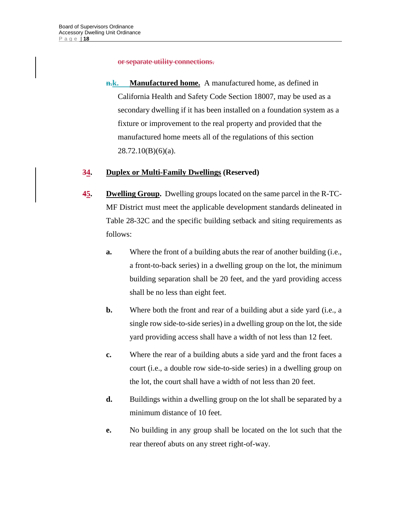or separate utility connections.

**n.k. Manufactured home.** A manufactured home, as defined in California Health and Safety Code Section 18007, may be used as a secondary dwelling if it has been installed on a foundation system as a fixture or improvement to the real property and provided that the manufactured home meets all of the regulations of this section 28.72.10(B)(6)(a).

# **34. Duplex or Multi-Family Dwellings (Reserved)**

- **45. Dwelling Group.** Dwelling groups located on the same parcel in the R-TC-MF District must meet the applicable development standards delineated in Table 28-32C and the specific building setback and siting requirements as follows:
	- **a.** Where the front of a building abuts the rear of another building (i.e., a front-to-back series) in a dwelling group on the lot, the minimum building separation shall be 20 feet, and the yard providing access shall be no less than eight feet.
	- **b.** Where both the front and rear of a building abut a side yard (i.e., a single row side-to-side series) in a dwelling group on the lot, the side yard providing access shall have a width of not less than 12 feet.
	- **c.** Where the rear of a building abuts a side yard and the front faces a court (i.e., a double row side-to-side series) in a dwelling group on the lot, the court shall have a width of not less than 20 feet.
	- **d.** Buildings within a dwelling group on the lot shall be separated by a minimum distance of 10 feet.
	- **e.** No building in any group shall be located on the lot such that the rear thereof abuts on any street right-of-way.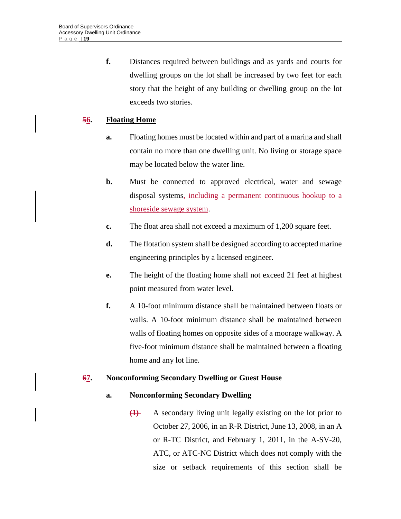**f.** Distances required between buildings and as yards and courts for dwelling groups on the lot shall be increased by two feet for each story that the height of any building or dwelling group on the lot exceeds two stories.

# **56. Floating Home**

- **a.** Floating homes must be located within and part of a marina and shall contain no more than one dwelling unit. No living or storage space may be located below the water line.
- **b.** Must be connected to approved electrical, water and sewage disposal systems, including a permanent continuous hookup to a shoreside sewage system.
- **c.** The float area shall not exceed a maximum of 1,200 square feet.
- **d.** The flotation system shall be designed according to accepted marine engineering principles by a licensed engineer.
- **e.** The height of the floating home shall not exceed 21 feet at highest point measured from water level.
- **f.** A 10-foot minimum distance shall be maintained between floats or walls. A 10-foot minimum distance shall be maintained between walls of floating homes on opposite sides of a moorage walkway. A five-foot minimum distance shall be maintained between a floating home and any lot line.

# **67. Nonconforming Secondary Dwelling or Guest House**

# **a. Nonconforming Secondary Dwelling**

**(1)** A secondary living unit legally existing on the lot prior to October 27, 2006, in an R-R District, June 13, 2008, in an A or R-TC District, and February 1, 2011, in the A-SV-20, ATC, or ATC-NC District which does not comply with the size or setback requirements of this section shall be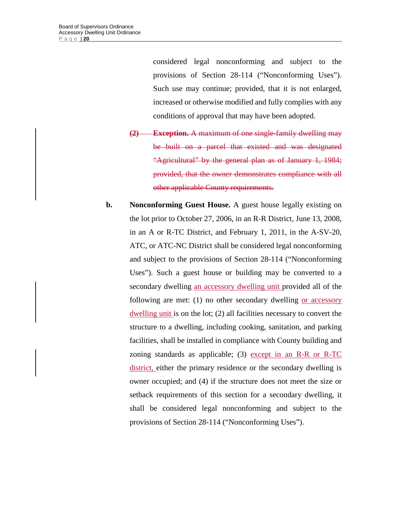considered legal nonconforming and subject to the provisions of Section 28-114 ("Nonconforming Uses"). Such use may continue; provided, that it is not enlarged, increased or otherwise modified and fully complies with any conditions of approval that may have been adopted.

- **(2) Exception.** A maximum of one single-family dwelling may be built on a parcel that existed and was designated "Agricultural" by the general plan as of January 1, 1984; provided, that the owner demonstrates compliance with all other applicable County requirements.
- **b.** Nonconforming Guest House. A guest house legally existing on the lot prior to October 27, 2006, in an R-R District, June 13, 2008, in an A or R-TC District, and February 1, 2011, in the A-SV-20, ATC, or ATC-NC District shall be considered legal nonconforming and subject to the provisions of Section 28-114 ("Nonconforming Uses"). Such a guest house or building may be converted to a secondary dwelling an accessory dwelling unit provided all of the following are met: (1) no other secondary dwelling or accessory dwelling unit is on the lot; (2) all facilities necessary to convert the structure to a dwelling, including cooking, sanitation, and parking facilities, shall be installed in compliance with County building and zoning standards as applicable; (3) except in an R-R or R-TC district, either the primary residence or the secondary dwelling is owner occupied; and (4) if the structure does not meet the size or setback requirements of this section for a secondary dwelling, it shall be considered legal nonconforming and subject to the provisions of Section 28-114 ("Nonconforming Uses").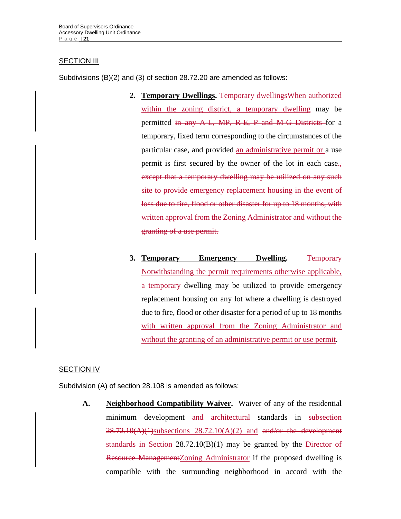# **SECTION III**

Subdivisions (B)(2) and (3) of section 28.72.20 are amended as follows:

- 2. Temporary Dwellings. **Temporary dwellings** When authorized within the zoning district, a temporary dwelling may be permitted in any A-L, MP, R-E, P and M-G Districts for a temporary, fixed term corresponding to the circumstances of the particular case, and provided an administrative permit or a use permit is first secured by the owner of the lot in each case., except that a temporary dwelling may be utilized on any such site to provide emergency replacement housing in the event of loss due to fire, flood or other disaster for up to 18 months, with written approval from the Zoning Administrator and without the granting of a use permit.
- **3. Temporary Emergency Dwelling.** Temporary Notwithstanding the permit requirements otherwise applicable, a temporary dwelling may be utilized to provide emergency replacement housing on any lot where a dwelling is destroyed due to fire, flood or other disaster for a period of up to 18 months with written approval from the Zoning Administrator and without the granting of an administrative permit or use permit.

# SECTION IV

Subdivision (A) of section 28.108 is amended as follows:

**A. Neighborhood Compatibility Waiver.** Waiver of any of the residential minimum development and architectural standards in subsection  $28.72.10(A)(1)$ subsections  $28.72.10(A)(2)$  and and/or the development standards in Section 28.72.10(B)(1) may be granted by the Director of Resource ManagementZoning Administrator if the proposed dwelling is compatible with the surrounding neighborhood in accord with the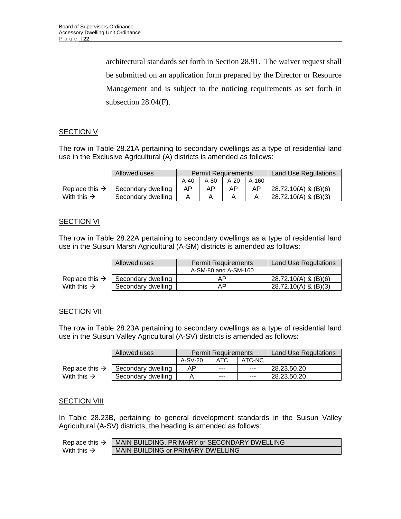architectural standards set forth in Section 28.91. The waiver request shall be submitted on an application form prepared by the Director or Resource Management and is subject to the noticing requirements as set forth in subsection 28.04(F).

# **SECTION V**

The row in Table 28.21A pertaining to secondary dwellings as a type of residential land use in the Exclusive Agricultural (A) districts is amended as follows:

|                            | Allowed uses       |        | <b>Permit Requirements</b> |      | <b>Land Use Regulations</b> |                         |
|----------------------------|--------------------|--------|----------------------------|------|-----------------------------|-------------------------|
|                            |                    | $A-40$ | A-80                       | A-20 | A-160                       |                         |
| Replace this $\rightarrow$ | Secondary dwelling | ΑP     | AP                         | AP   | AP.                         | $128.72.10(A)$ & (B)(6) |
| With this $\rightarrow$    | Secondary dwelling |        |                            |      |                             | 28.72.10(A) & (B)(3)    |

#### **SECTION VI**

The row in Table 28.22A pertaining to secondary dwellings as a type of residential land use in the Suisun Marsh Agricultural (A-SM) districts is amended as follows:

|                            | Allowed uses<br><b>Permit Requirements</b> |                      | <b>Land Use Regulations</b> |
|----------------------------|--------------------------------------------|----------------------|-----------------------------|
|                            |                                            | A-SM-80 and A-SM-160 |                             |
| Replace this $\rightarrow$ | Secondary dwelling                         | ΑP                   | 28.72.10(A) & (B)(6)        |
| With this $\rightarrow$    | Secondary dwelling                         | АP                   | 28.72.10(A) & (B)(3)        |

#### **SECTION VII**

The row in Table 28.23A pertaining to secondary dwellings as a type of residential land use in the Suisun Valley Agricultural (A-SV) districts is amended as follows:

|                            | Allowed uses       |         | <b>Permit Requirements</b> | <b>Land Use Regulations</b> |             |
|----------------------------|--------------------|---------|----------------------------|-----------------------------|-------------|
|                            |                    | A-SV-20 | ATC.                       | ATC-NC                      |             |
| Replace this $\rightarrow$ | Secondary dwelling | AP      | $- - -$                    | $- - -$                     | 28.23.50.20 |
| With this $\rightarrow$    | Secondary dwelling |         | $- - -$                    | $- - -$                     | 28.23.50.20 |

#### **SECTION VIII**

In Table 28.23B, pertaining to general development standards in the Suisun Valley Agricultural (A-SV) districts, the heading is amended as follows:

| Replace this $\rightarrow$ | MAIN BUILDING, PRIMARY or SECONDARY DWELLING |
|----------------------------|----------------------------------------------|
| With this $\rightarrow$    | MAIN BUILDING or PRIMARY DWELLING            |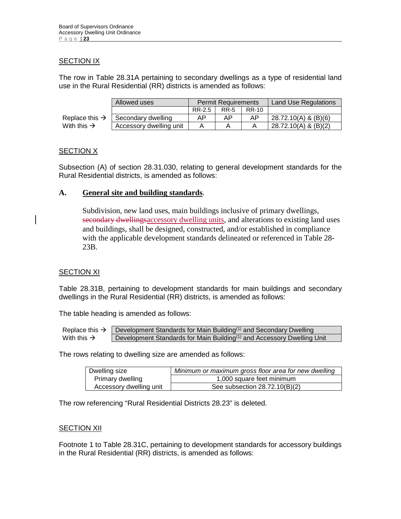# **SECTION IX**

The row in Table 28.31A pertaining to secondary dwellings as a type of residential land use in the Rural Residential (RR) districts is amended as follows:

|                            | Allowed uses            | <b>Permit Requirements</b> |             |       | <b>Land Use Regulations</b> |
|----------------------------|-------------------------|----------------------------|-------------|-------|-----------------------------|
|                            |                         | RR-2.5                     | <b>RR-5</b> | RR-10 |                             |
| Replace this $\rightarrow$ | Secondary dwelling      | AP                         | AP          | AP    | 28.72.10(A) & (B)(6)        |
| With this $\rightarrow$    | Accessory dwelling unit |                            |             |       | 28.72.10(A) & (B)(2)        |

# **SECTION X**

Subsection (A) of section 28.31.030, relating to general development standards for the Rural Residential districts, is amended as follows:

# **A. General site and building standards**.

Subdivision, new land uses, main buildings inclusive of primary dwellings, secondary dwellingsaccessory dwelling units, and alterations to existing land uses and buildings, shall be designed, constructed, and/or established in compliance with the applicable development standards delineated or referenced in Table 28- 23B.

# **SECTION XI**

Table 28.31B, pertaining to development standards for main buildings and secondary dwellings in the Rural Residential (RR) districts, is amended as follows:

The table heading is amended as follows:

Replace this  $\rightarrow$  Development Standards for Main Building<sup>(1)</sup> and Secondary Dwelling With this  $\rightarrow$  Development Standards for Main Building<sup>(1)</sup> and Accessory Dwelling Unit

The rows relating to dwelling size are amended as follows:

| Dwelling size           | Minimum or maximum gross floor area for new dwelling |
|-------------------------|------------------------------------------------------|
| Primary dwelling        | 1,000 square feet minimum                            |
| Accessory dwelling unit | See subsection $28.72.10(B)(2)$                      |

The row referencing "Rural Residential Districts 28.23" is deleted.

# **SECTION XII**

Footnote 1 to Table 28.31C, pertaining to development standards for accessory buildings in the Rural Residential (RR) districts, is amended as follows: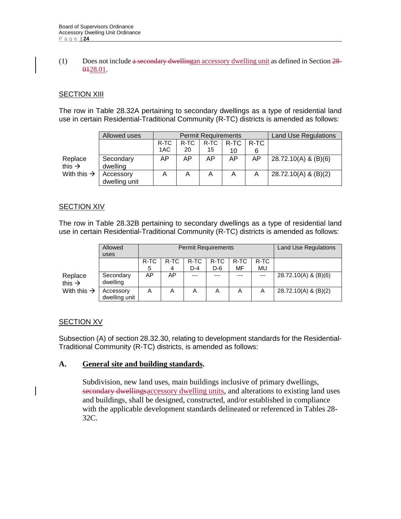#### (1) Does not include a secondary dwellingan accessory dwelling unit as defined in Section 28- 0428.01.

# SECTION XIII

The row in Table 28.32A pertaining to secondary dwellings as a type of residential land use in certain Residential-Traditional Community (R-TC) districts is amended as follows:

|                         | Allowed uses  |      |      | <b>Permit Requirements</b> | <b>Land Use Regulations</b> |      |                        |
|-------------------------|---------------|------|------|----------------------------|-----------------------------|------|------------------------|
|                         |               | R-TC | R-TC | R-TC                       | R-TC                        | R-TC |                        |
|                         |               | 1AC  | 20   | 15                         | 10                          | 6    |                        |
| Replace                 | Secondary     | AP   | AP   | AP                         | AP                          | AP   | 28.72.10(A) & (B)(6)   |
| this $\rightarrow$      | dwelling      |      |      |                            |                             |      |                        |
| With this $\rightarrow$ | Accessory     |      | A    | A                          | A                           | A    | $28.72.10(A)$ & (B)(2) |
|                         | dwelling unit |      |      |                            |                             |      |                        |

# SECTION XIV

The row in Table 28.32B pertaining to secondary dwellings as a type of residential land use in certain Residential-Traditional Community (R-TC) districts is amended as follows:

|                               | Allowed<br>uses            |      |      | <b>Permit Requirements</b> | <b>Land Use Regulations</b> |      |      |                      |
|-------------------------------|----------------------------|------|------|----------------------------|-----------------------------|------|------|----------------------|
|                               |                            | R-TC | R-TC | R-TC                       | R-TC                        | R-TC | R-TC |                      |
|                               |                            | 5    | 4    | D-4                        | D-6                         | MF   | MU   |                      |
| Replace<br>this $\rightarrow$ | Secondary<br>dwelling      | AP   | AP   | $- - -$                    |                             | ---  | ---  | 28.72.10(A) & (B)(6) |
| With this $\rightarrow$       | Accessory<br>dwelling unit | A    | Α    | A                          | Α                           | A    | A    | 28.72.10(A) & (B)(2) |

# **SECTION XV**

Subsection (A) of section 28.32.30, relating to development standards for the Residential-Traditional Community (R-TC) districts, is amended as follows:

# **A. General site and building standards.**

Subdivision, new land uses, main buildings inclusive of primary dwellings, secondary dwellingsaccessory dwelling units, and alterations to existing land uses and buildings, shall be designed, constructed, and/or established in compliance with the applicable development standards delineated or referenced in Tables 28- 32C.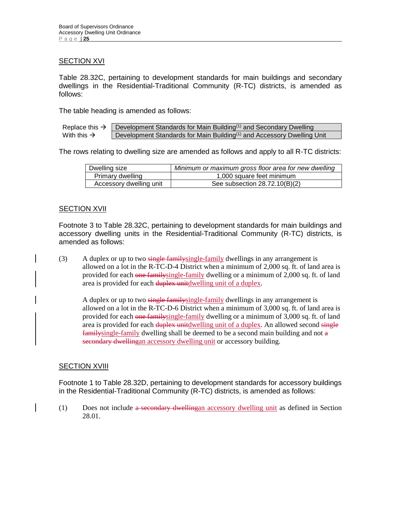#### **SECTION XVI**

Table 28.32C, pertaining to development standards for main buildings and secondary dwellings in the Residential-Traditional Community (R-TC) districts, is amended as follows:

The table heading is amended as follows:

|                         | Replace this $\rightarrow$ Development Standards for Main Building <sup>(1)</sup> and Secondary Dwelling |
|-------------------------|----------------------------------------------------------------------------------------------------------|
| With this $\rightarrow$ | Development Standards for Main Building <sup>(1)</sup> and Accessory Dwelling Unit                       |

The rows relating to dwelling size are amended as follows and apply to all R-TC districts:

| Dwelling size           | Minimum or maximum gross floor area for new dwelling |
|-------------------------|------------------------------------------------------|
| Primary dwelling        | 1,000 square feet minimum                            |
| Accessory dwelling unit | See subsection 28.72.10(B)(2)                        |

#### **SECTION XVII**

Footnote 3 to Table 28.32C, pertaining to development standards for main buildings and accessory dwelling units in the Residential-Traditional Community (R-TC) districts, is amended as follows:

(3) A duplex or up to two single family single-family dwellings in any arrangement is allowed on a lot in the R-TC-D-4 District when a minimum of 2,000 sq. ft. of land area is provided for each one familysingle-family dwelling or a minimum of 2,000 sq. ft. of land area is provided for each duplex unitdwelling unit of a duplex.

A duplex or up to two single family single-family dwellings in any arrangement is allowed on a lot in the R-TC-D-6 District when a minimum of 3,000 sq. ft. of land area is provided for each one familysingle-family dwelling or a minimum of 3,000 sq. ft. of land area is provided for each duplex unitdwelling unit of a duplex. An allowed second single familysingle-family dwelling shall be deemed to be a second main building and not a secondary dwellingan accessory dwelling unit or accessory building.

#### SECTION XVIII

Footnote 1 to Table 28.32D, pertaining to development standards for accessory buildings in the Residential-Traditional Community (R-TC) districts, is amended as follows:

(1) Does not include a secondary dwellingan accessory dwelling unit as defined in Section 28.01.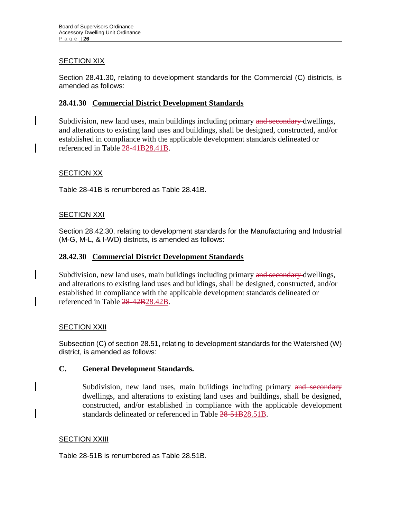# **SECTION XIX**

Section 28.41.30, relating to development standards for the Commercial (C) districts, is amended as follows:

# **28.41.30 Commercial District Development Standards**

Subdivision, new land uses, main buildings including primary and secondary dwellings, and alterations to existing land uses and buildings, shall be designed, constructed, and/or established in compliance with the applicable development standards delineated or referenced in Table 28-41B28.41B.

# SECTION XX

Table 28-41B is renumbered as Table 28.41B.

# **SECTION XXI**

Section 28.42.30, relating to development standards for the Manufacturing and Industrial (M-G, M-L, & I-WD) districts, is amended as follows:

# **28.42.30 Commercial District Development Standards**

Subdivision, new land uses, main buildings including primary and secondary dwellings, and alterations to existing land uses and buildings, shall be designed, constructed, and/or established in compliance with the applicable development standards delineated or referenced in Table 28-42B28.42B.

# SECTION XXII

Subsection (C) of section 28.51, relating to development standards for the Watershed (W) district, is amended as follows:

# **C. General Development Standards.**

Subdivision, new land uses, main buildings including primary and secondary dwellings, and alterations to existing land uses and buildings, shall be designed, constructed, and/or established in compliance with the applicable development standards delineated or referenced in Table 28-51B28.51B.

# **SECTION XXIII**

Table 28-51B is renumbered as Table 28.51B.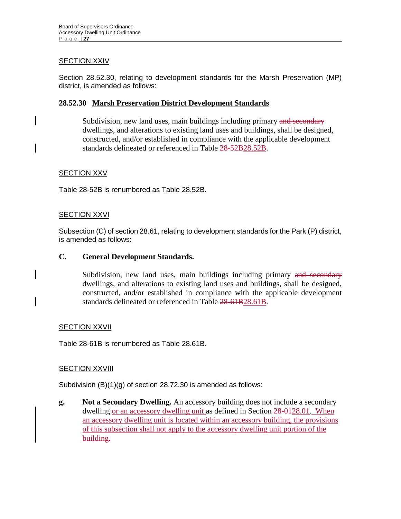# **SECTION XXIV**

Section 28.52.30, relating to development standards for the Marsh Preservation (MP) district, is amended as follows:

# **28.52.30 Marsh Preservation District Development Standards**

Subdivision, new land uses, main buildings including primary and secondary dwellings, and alterations to existing land uses and buildings, shall be designed, constructed, and/or established in compliance with the applicable development standards delineated or referenced in Table 28-52B28.52B.

# SECTION XXV

Table 28-52B is renumbered as Table 28.52B.

#### **SECTION XXVI**

Subsection (C) of section 28.61, relating to development standards for the Park (P) district, is amended as follows:

# **C. General Development Standards.**

Subdivision, new land uses, main buildings including primary and secondary dwellings, and alterations to existing land uses and buildings, shall be designed, constructed, and/or established in compliance with the applicable development standards delineated or referenced in Table 28-61B28.61B.

# SECTION XXVII

Table 28-61B is renumbered as Table 28.61B.

# **SECTION XXVIII**

Subdivision (B)(1)(g) of section 28.72.30 is amended as follows:

**g. Not a Secondary Dwelling.** An accessory building does not include a secondary dwelling or an accessory dwelling unit as defined in Section 28-0128.01. When an accessory dwelling unit is located within an accessory building, the provisions of this subsection shall not apply to the accessory dwelling unit portion of the building.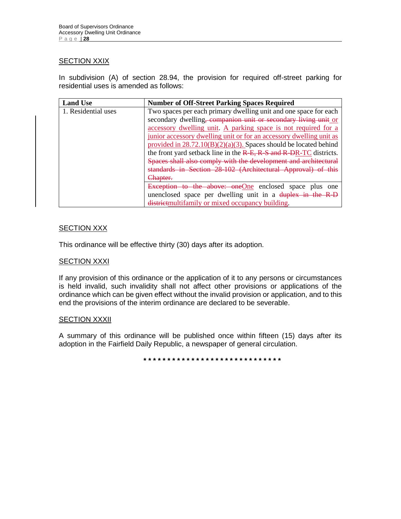# **SECTION XXIX**

In subdivision (A) of section 28.94, the provision for required off-street parking for residential uses is amended as follows:

| <b>Land Use</b>     | <b>Number of Off-Street Parking Spaces Required</b>                         |
|---------------------|-----------------------------------------------------------------------------|
| 1. Residential uses | Two spaces per each primary dwelling unit and one space for each            |
|                     | secondary dwelling, companion unit or secondary living unit or              |
|                     | accessory dwelling unit. A parking space is not required for a              |
|                     | junior accessory dwelling unit or for an accessory dwelling unit as         |
|                     | provided in $28.72.10(B)(2)(a)(3)$ . Spaces should be located behind        |
|                     | the front yard setback line in the $R$ -E, $R$ -S and $R$ -DR-TC districts. |
|                     | Spaces shall also comply with the development and architectural             |
|                     | standards in Section 28-102 (Architectural Approval) of this                |
|                     | <del>Chapter.</del>                                                         |
|                     | Exception to the above: oneOne enclosed space plus one                      |
|                     | unenclosed space per dwelling unit in a duplex in the R-D                   |
|                     | district multifamily or mixed occupancy building.                           |

# **SECTION XXX**

This ordinance will be effective thirty (30) days after its adoption.

#### **SECTION XXXI**

If any provision of this ordinance or the application of it to any persons or circumstances is held invalid, such invalidity shall not affect other provisions or applications of the ordinance which can be given effect without the invalid provision or application, and to this end the provisions of the interim ordinance are declared to be severable.

#### **SECTION XXXII**

A summary of this ordinance will be published once within fifteen (15) days after its adoption in the Fairfield Daily Republic, a newspaper of general circulation.

**\* \* \* \* \* \* \* \* \* \* \* \* \* \* \* \* \* \* \* \* \* \* \* \* \* \* \* \* \***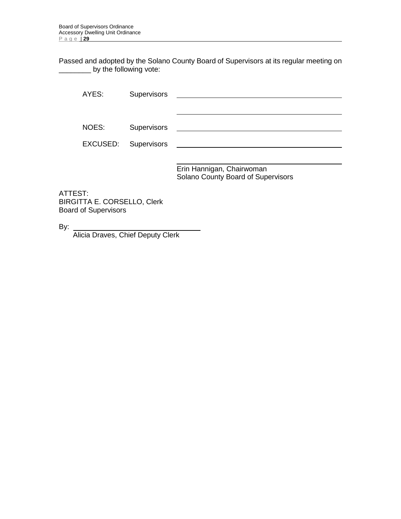Passed and adopted by the Solano County Board of Supervisors at its regular meeting on \_\_\_\_\_\_\_\_ by the following vote:

| AYES:    | <b>Supervisors</b> |                                                                 |
|----------|--------------------|-----------------------------------------------------------------|
|          |                    |                                                                 |
|          |                    |                                                                 |
| NOES:    | <b>Supervisors</b> |                                                                 |
| EXCUSED: | Supervisors        |                                                                 |
|          |                    |                                                                 |
|          |                    | Erin Hannigan, Chairwoman<br>Solano County Board of Supervisors |

ATTEST: BIRGITTA E. CORSELLO, Clerk Board of Supervisors

By:

Alicia Draves, Chief Deputy Clerk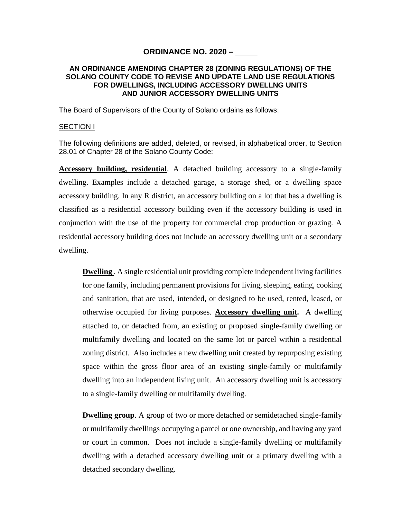# **ORDINANCE NO. 2020 – \_\_\_\_\_**

#### **AN ORDINANCE AMENDING CHAPTER 28 (ZONING REGULATIONS) OF THE SOLANO COUNTY CODE TO REVISE AND UPDATE LAND USE REGULATIONS FOR DWELLINGS, INCLUDING ACCESSORY DWELLNG UNITS AND JUNIOR ACCESSORY DWELLING UNITS**

The Board of Supervisors of the County of Solano ordains as follows:

#### SECTION I

The following definitions are added, deleted, or revised, in alphabetical order, to Section 28.01 of Chapter 28 of the Solano County Code:

**Accessory building, residential**. A detached building accessory to a single-family dwelling. Examples include a detached garage, a storage shed, or a dwelling space accessory building. In any R district, an accessory building on a lot that has a dwelling is classified as a residential accessory building even if the accessory building is used in conjunction with the use of the property for commercial crop production or grazing. A residential accessory building does not include an accessory dwelling unit or a secondary dwelling.

**Dwelling** . A single residential unit providing complete independent living facilities for one family, including permanent provisions for living, sleeping, eating, cooking and sanitation, that are used, intended, or designed to be used, rented, leased, or otherwise occupied for living purposes. **Accessory dwelling unit.** A dwelling attached to, or detached from, an existing or proposed single-family dwelling or multifamily dwelling and located on the same lot or parcel within a residential zoning district. Also includes a new dwelling unit created by repurposing existing space within the gross floor area of an existing single-family or multifamily dwelling into an independent living unit. An accessory dwelling unit is accessory to a single-family dwelling or multifamily dwelling.

**Dwelling group**. A group of two or more detached or semidetached single-family or multifamily dwellings occupying a parcel or one ownership, and having any yard or court in common. Does not include a single-family dwelling or multifamily dwelling with a detached accessory dwelling unit or a primary dwelling with a detached secondary dwelling.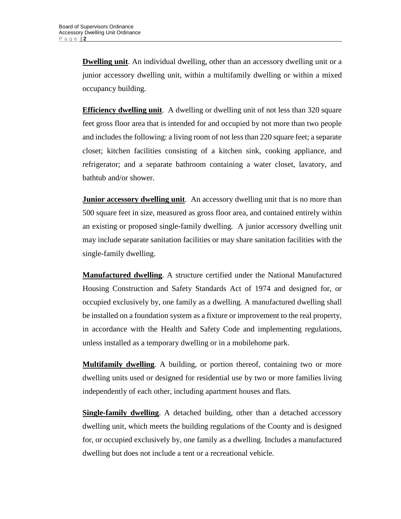**Dwelling unit**. An individual dwelling, other than an accessory dwelling unit or a junior accessory dwelling unit, within a multifamily dwelling or within a mixed occupancy building.

**Efficiency dwelling unit**. A dwelling or dwelling unit of not less than 320 square feet gross floor area that is intended for and occupied by not more than two people and includes the following: a living room of not less than 220 square feet; a separate closet; kitchen facilities consisting of a kitchen sink, cooking appliance, and refrigerator; and a separate bathroom containing a water closet, lavatory, and bathtub and/or shower.

**Junior accessory dwelling unit.** An accessory dwelling unit that is no more than 500 square feet in size, measured as gross floor area, and contained entirely within an existing or proposed single-family dwelling. A junior accessory dwelling unit may include separate sanitation facilities or may share sanitation facilities with the single-family dwelling.

**Manufactured dwelling**. A structure certified under the National Manufactured Housing Construction and Safety Standards Act of 1974 and designed for, or occupied exclusively by, one family as a dwelling. A manufactured dwelling shall be installed on a foundation system as a fixture or improvement to the real property, in accordance with the Health and Safety Code and implementing regulations, unless installed as a temporary dwelling or in a mobilehome park.

**Multifamily dwelling**. A building, or portion thereof, containing two or more dwelling units used or designed for residential use by two or more families living independently of each other, including apartment houses and flats.

**Single-family dwelling**. A detached building, other than a detached accessory dwelling unit, which meets the building regulations of the County and is designed for, or occupied exclusively by, one family as a dwelling. Includes a manufactured dwelling but does not include a tent or a recreational vehicle.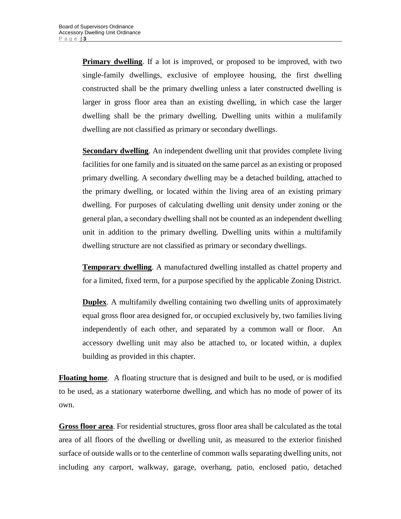**Primary dwelling**. If a lot is improved, or proposed to be improved, with two single-family dwellings, exclusive of employee housing, the first dwelling constructed shall be the primary dwelling unless a later constructed dwelling is larger in gross floor area than an existing dwelling, in which case the larger dwelling shall be the primary dwelling. Dwelling units within a mulifamily dwelling are not classified as primary or secondary dwellings.

**Secondary dwelling**. An independent dwelling unit that provides complete living facilities for one family and is situated on the same parcel as an existing or proposed primary dwelling. A secondary dwelling may be a detached building, attached to the primary dwelling, or located within the living area of an existing primary dwelling. For purposes of calculating dwelling unit density under zoning or the general plan, a secondary dwelling shall not be counted as an independent dwelling unit in addition to the primary dwelling. Dwelling units within a multifamily dwelling structure are not classified as primary or secondary dwellings.

**Temporary dwelling**. A manufactured dwelling installed as chattel property and for a limited, fixed term, for a purpose specified by the applicable Zoning District.

**Duplex**. A multifamily dwelling containing two dwelling units of approximately equal gross floor area designed for, or occupied exclusively by, two families living independently of each other, and separated by a common wall or floor. An accessory dwelling unit may also be attached to, or located within, a duplex building as provided in this chapter.

**Floating home**. A floating structure that is designed and built to be used, or is modified to be used, as a stationary waterborne dwelling, and which has no mode of power of its own.

**Gross floor area**. For residential structures, gross floor area shall be calculated as the total area of all floors of the dwelling or dwelling unit, as measured to the exterior finished surface of outside walls or to the centerline of common walls separating dwelling units, not including any carport, walkway, garage, overhang, patio, enclosed patio, detached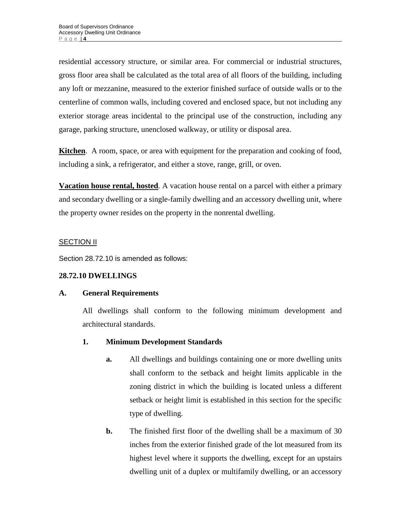residential accessory structure, or similar area. For commercial or industrial structures, gross floor area shall be calculated as the total area of all floors of the building, including any loft or mezzanine, measured to the exterior finished surface of outside walls or to the centerline of common walls, including covered and enclosed space, but not including any exterior storage areas incidental to the principal use of the construction, including any garage, parking structure, unenclosed walkway, or utility or disposal area.

**Kitchen**. A room, space, or area with equipment for the preparation and cooking of food, including a sink, a refrigerator, and either a stove, range, grill, or oven.

**Vacation house rental, hosted**. A vacation house rental on a parcel with either a primary and secondary dwelling or a single-family dwelling and an accessory dwelling unit, where the property owner resides on the property in the nonrental dwelling.

# SECTION II

Section 28.72.10 is amended as follows:

# **28.72.10 DWELLINGS**

# **A. General Requirements**

All dwellings shall conform to the following minimum development and architectural standards.

# **1. Minimum Development Standards**

- **a.** All dwellings and buildings containing one or more dwelling units shall conform to the setback and height limits applicable in the zoning district in which the building is located unless a different setback or height limit is established in this section for the specific type of dwelling.
- **b.** The finished first floor of the dwelling shall be a maximum of 30 inches from the exterior finished grade of the lot measured from its highest level where it supports the dwelling, except for an upstairs dwelling unit of a duplex or multifamily dwelling, or an accessory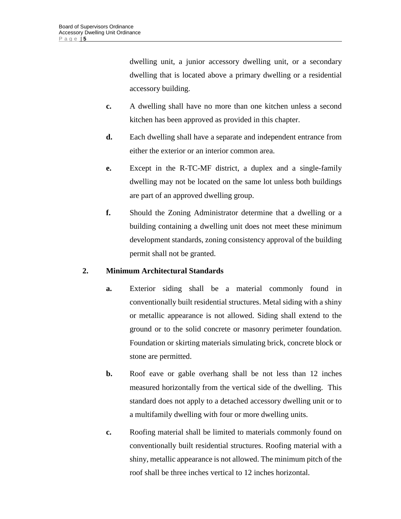dwelling unit, a junior accessory dwelling unit, or a secondary dwelling that is located above a primary dwelling or a residential accessory building.

- **c.** A dwelling shall have no more than one kitchen unless a second kitchen has been approved as provided in this chapter.
- **d.** Each dwelling shall have a separate and independent entrance from either the exterior or an interior common area.
- **e.** Except in the R-TC-MF district, a duplex and a single-family dwelling may not be located on the same lot unless both buildings are part of an approved dwelling group.
- **f.** Should the Zoning Administrator determine that a dwelling or a building containing a dwelling unit does not meet these minimum development standards, zoning consistency approval of the building permit shall not be granted.

# **2. Minimum Architectural Standards**

- **a.** Exterior siding shall be a material commonly found in conventionally built residential structures. Metal siding with a shiny or metallic appearance is not allowed. Siding shall extend to the ground or to the solid concrete or masonry perimeter foundation. Foundation or skirting materials simulating brick, concrete block or stone are permitted.
- **b.** Roof eave or gable overhang shall be not less than 12 inches measured horizontally from the vertical side of the dwelling. This standard does not apply to a detached accessory dwelling unit or to a multifamily dwelling with four or more dwelling units.
- **c.** Roofing material shall be limited to materials commonly found on conventionally built residential structures. Roofing material with a shiny, metallic appearance is not allowed. The minimum pitch of the roof shall be three inches vertical to 12 inches horizontal.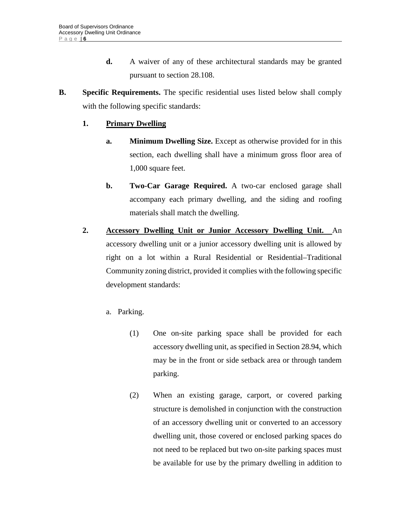- **d.** A waiver of any of these architectural standards may be granted pursuant to section 28.108.
- **B. Specific Requirements.** The specific residential uses listed below shall comply with the following specific standards:

# **1. Primary Dwelling**

- **a.** Minimum Dwelling Size. Except as otherwise provided for in this section, each dwelling shall have a minimum gross floor area of 1,000 square feet.
- **b.** Two-Car Garage Required. A two-car enclosed garage shall accompany each primary dwelling, and the siding and roofing materials shall match the dwelling.
- **2. Accessory Dwelling Unit or Junior Accessory Dwelling Unit.** An accessory dwelling unit or a junior accessory dwelling unit is allowed by right on a lot within a Rural Residential or Residential–Traditional Community zoning district, provided it complies with the following specific development standards:
	- a. Parking.
		- (1) One on-site parking space shall be provided for each accessory dwelling unit, as specified in Section 28.94, which may be in the front or side setback area or through tandem parking.
		- (2) When an existing garage, carport, or covered parking structure is demolished in conjunction with the construction of an accessory dwelling unit or converted to an accessory dwelling unit, those covered or enclosed parking spaces do not need to be replaced but two on-site parking spaces must be available for use by the primary dwelling in addition to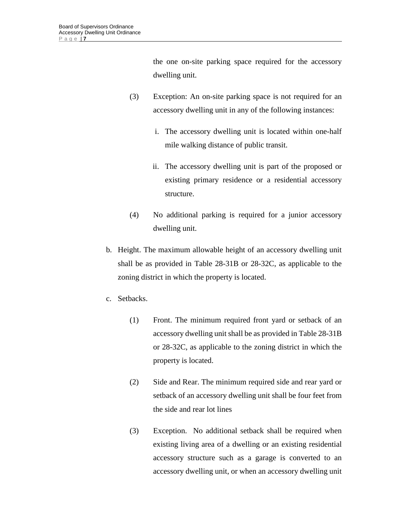the one on-site parking space required for the accessory dwelling unit.

- (3) Exception: An on-site parking space is not required for an accessory dwelling unit in any of the following instances:
	- i. The accessory dwelling unit is located within one-half mile walking distance of public transit.
	- ii. The accessory dwelling unit is part of the proposed or existing primary residence or a residential accessory structure.
- (4) No additional parking is required for a junior accessory dwelling unit.
- b. Height. The maximum allowable height of an accessory dwelling unit shall be as provided in Table 28-31B or 28-32C, as applicable to the zoning district in which the property is located.
- c. Setbacks.
	- (1) Front. The minimum required front yard or setback of an accessory dwelling unit shall be as provided in Table 28-31B or 28-32C, as applicable to the zoning district in which the property is located.
	- (2) Side and Rear. The minimum required side and rear yard or setback of an accessory dwelling unit shall be four feet from the side and rear lot lines
	- (3) Exception. No additional setback shall be required when existing living area of a dwelling or an existing residential accessory structure such as a garage is converted to an accessory dwelling unit, or when an accessory dwelling unit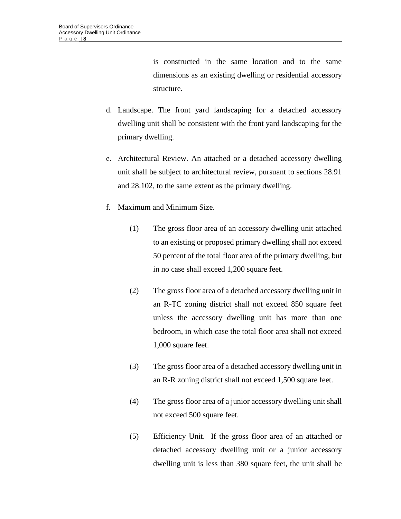is constructed in the same location and to the same dimensions as an existing dwelling or residential accessory structure.

- d. Landscape. The front yard landscaping for a detached accessory dwelling unit shall be consistent with the front yard landscaping for the primary dwelling.
- e. Architectural Review. An attached or a detached accessory dwelling unit shall be subject to architectural review, pursuant to sections 28.91 and 28.102, to the same extent as the primary dwelling.
- f. Maximum and Minimum Size.
	- (1) The gross floor area of an accessory dwelling unit attached to an existing or proposed primary dwelling shall not exceed 50 percent of the total floor area of the primary dwelling, but in no case shall exceed 1,200 square feet.
	- (2) The gross floor area of a detached accessory dwelling unit in an R-TC zoning district shall not exceed 850 square feet unless the accessory dwelling unit has more than one bedroom, in which case the total floor area shall not exceed 1,000 square feet.
	- (3) The gross floor area of a detached accessory dwelling unit in an R-R zoning district shall not exceed 1,500 square feet.
	- (4) The gross floor area of a junior accessory dwelling unit shall not exceed 500 square feet.
	- (5) Efficiency Unit. If the gross floor area of an attached or detached accessory dwelling unit or a junior accessory dwelling unit is less than 380 square feet, the unit shall be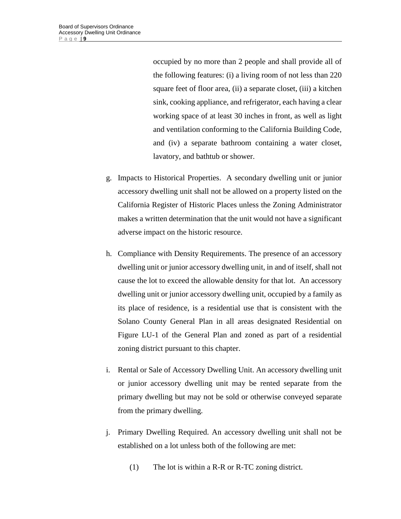occupied by no more than 2 people and shall provide all of the following features: (i) a living room of not less than 220 square feet of floor area, (ii) a separate closet, (iii) a kitchen sink, cooking appliance, and refrigerator, each having a clear working space of at least 30 inches in front, as well as light and ventilation conforming to the California Building Code, and (iv) a separate bathroom containing a water closet, lavatory, and bathtub or shower.

- g. Impacts to Historical Properties. A secondary dwelling unit or junior accessory dwelling unit shall not be allowed on a property listed on the California Register of Historic Places unless the Zoning Administrator makes a written determination that the unit would not have a significant adverse impact on the historic resource.
- h. Compliance with Density Requirements. The presence of an accessory dwelling unit or junior accessory dwelling unit, in and of itself, shall not cause the lot to exceed the allowable density for that lot. An accessory dwelling unit or junior accessory dwelling unit, occupied by a family as its place of residence, is a residential use that is consistent with the Solano County General Plan in all areas designated Residential on Figure LU-1 of the General Plan and zoned as part of a residential zoning district pursuant to this chapter.
- i. Rental or Sale of Accessory Dwelling Unit. An accessory dwelling unit or junior accessory dwelling unit may be rented separate from the primary dwelling but may not be sold or otherwise conveyed separate from the primary dwelling.
- j. Primary Dwelling Required. An accessory dwelling unit shall not be established on a lot unless both of the following are met:
	- (1) The lot is within a R-R or R-TC zoning district.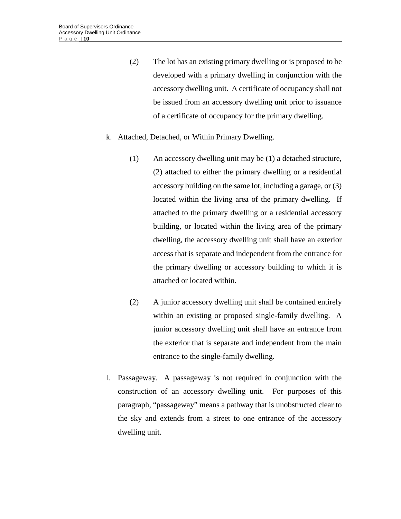- (2) The lot has an existing primary dwelling or is proposed to be developed with a primary dwelling in conjunction with the accessory dwelling unit. A certificate of occupancy shall not be issued from an accessory dwelling unit prior to issuance of a certificate of occupancy for the primary dwelling.
- k. Attached, Detached, or Within Primary Dwelling.
	- (1) An accessory dwelling unit may be (1) a detached structure, (2) attached to either the primary dwelling or a residential accessory building on the same lot, including a garage, or (3) located within the living area of the primary dwelling. If attached to the primary dwelling or a residential accessory building, or located within the living area of the primary dwelling, the accessory dwelling unit shall have an exterior access that is separate and independent from the entrance for the primary dwelling or accessory building to which it is attached or located within.
	- (2) A junior accessory dwelling unit shall be contained entirely within an existing or proposed single-family dwelling. A junior accessory dwelling unit shall have an entrance from the exterior that is separate and independent from the main entrance to the single-family dwelling.
- l. Passageway. A passageway is not required in conjunction with the construction of an accessory dwelling unit. For purposes of this paragraph, "passageway" means a pathway that is unobstructed clear to the sky and extends from a street to one entrance of the accessory dwelling unit.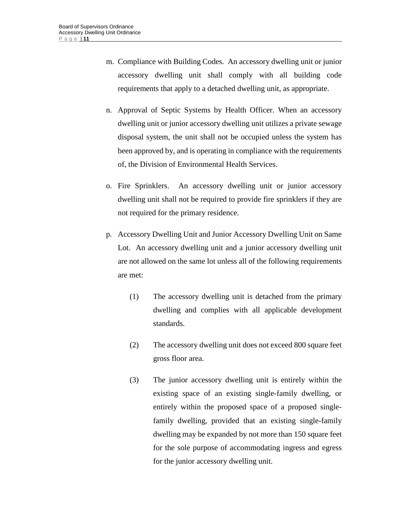- m. Compliance with Building Codes. An accessory dwelling unit or junior accessory dwelling unit shall comply with all building code requirements that apply to a detached dwelling unit, as appropriate.
- n. Approval of Septic Systems by Health Officer. When an accessory dwelling unit or junior accessory dwelling unit utilizes a private sewage disposal system, the unit shall not be occupied unless the system has been approved by, and is operating in compliance with the requirements of, the Division of Environmental Health Services.
- o. Fire Sprinklers. An accessory dwelling unit or junior accessory dwelling unit shall not be required to provide fire sprinklers if they are not required for the primary residence.
- p. Accessory Dwelling Unit and Junior Accessory Dwelling Unit on Same Lot. An accessory dwelling unit and a junior accessory dwelling unit are not allowed on the same lot unless all of the following requirements are met:
	- (1) The accessory dwelling unit is detached from the primary dwelling and complies with all applicable development standards.
	- (2) The accessory dwelling unit does not exceed 800 square feet gross floor area.
	- (3) The junior accessory dwelling unit is entirely within the existing space of an existing single-family dwelling, or entirely within the proposed space of a proposed singlefamily dwelling, provided that an existing single-family dwelling may be expanded by not more than 150 square feet for the sole purpose of accommodating ingress and egress for the junior accessory dwelling unit.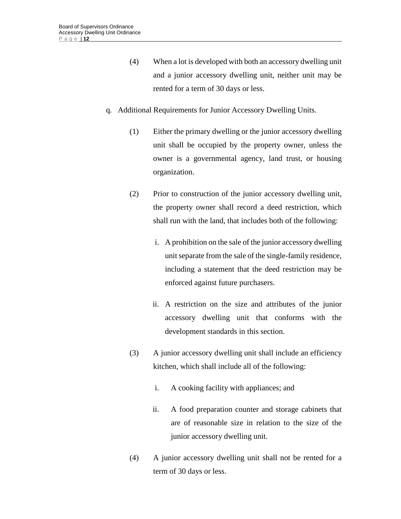- (4) When a lot is developed with both an accessory dwelling unit and a junior accessory dwelling unit, neither unit may be rented for a term of 30 days or less.
- q. Additional Requirements for Junior Accessory Dwelling Units.
	- (1) Either the primary dwelling or the junior accessory dwelling unit shall be occupied by the property owner, unless the owner is a governmental agency, land trust, or housing organization.
	- (2) Prior to construction of the junior accessory dwelling unit, the property owner shall record a deed restriction, which shall run with the land, that includes both of the following:
		- i. A prohibition on the sale of the junior accessory dwelling unit separate from the sale of the single-family residence, including a statement that the deed restriction may be enforced against future purchasers.
		- ii. A restriction on the size and attributes of the junior accessory dwelling unit that conforms with the development standards in this section.
	- (3) A junior accessory dwelling unit shall include an efficiency kitchen, which shall include all of the following:
		- i. A cooking facility with appliances; and
		- ii. A food preparation counter and storage cabinets that are of reasonable size in relation to the size of the junior accessory dwelling unit.
	- (4) A junior accessory dwelling unit shall not be rented for a term of 30 days or less.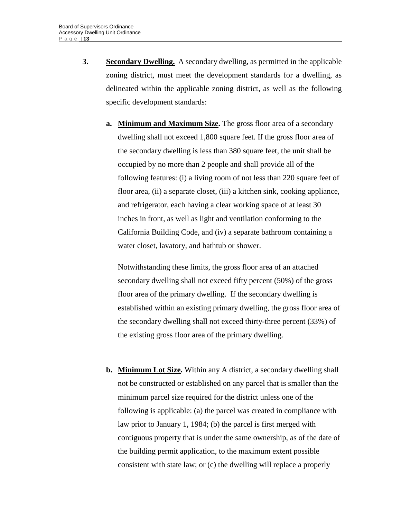**3. Secondary Dwelling.** A secondary dwelling*,* as permitted in the applicable zoning district, must meet the development standards for a dwelling, as delineated within the applicable zoning district, as well as the following specific development standards:

**a. Minimum and Maximum Size.** The gross floor area of a secondary dwelling shall not exceed 1,800 square feet. If the gross floor area of the secondary dwelling is less than 380 square feet, the unit shall be occupied by no more than 2 people and shall provide all of the following features: (i) a living room of not less than 220 square feet of floor area, (ii) a separate closet, (iii) a kitchen sink, cooking appliance, and refrigerator, each having a clear working space of at least 30 inches in front, as well as light and ventilation conforming to the California Building Code, and (iv) a separate bathroom containing a water closet, lavatory, and bathtub or shower.

Notwithstanding these limits, the gross floor area of an attached secondary dwelling shall not exceed fifty percent (50%) of the gross floor area of the primary dwelling. If the secondary dwelling is established within an existing primary dwelling, the gross floor area of the secondary dwelling shall not exceed thirty-three percent (33%) of the existing gross floor area of the primary dwelling.

**b. Minimum Lot Size.** Within any A district, a secondary dwelling shall not be constructed or established on any parcel that is smaller than the minimum parcel size required for the district unless one of the following is applicable: (a) the parcel was created in compliance with law prior to January 1, 1984; (b) the parcel is first merged with contiguous property that is under the same ownership, as of the date of the building permit application, to the maximum extent possible consistent with state law; or (c) the dwelling will replace a properly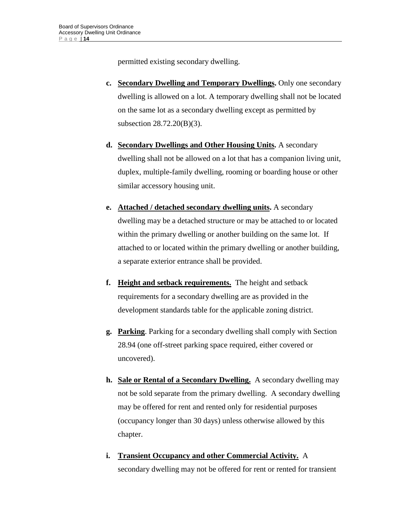permitted existing secondary dwelling.

- **c. Secondary Dwelling and Temporary Dwellings.** Only one secondary dwelling is allowed on a lot. A temporary dwelling shall not be located on the same lot as a secondary dwelling except as permitted by subsection 28.72.20(B)(3).
- **d. Secondary Dwellings and Other Housing Units.** A secondary dwelling shall not be allowed on a lot that has a companion living unit, duplex, multiple-family dwelling, rooming or boarding house or other similar accessory housing unit.
- **e. Attached / detached secondary dwelling units.** A secondary dwelling may be a detached structure or may be attached to or located within the primary dwelling or another building on the same lot. If attached to or located within the primary dwelling or another building, a separate exterior entrance shall be provided.
- **f. Height and setback requirements.** The height and setback requirements for a secondary dwelling are as provided in the development standards table for the applicable zoning district.
- **g. Parking**. Parking for a secondary dwelling shall comply with Section 28.94 (one off-street parking space required, either covered or uncovered).
- **h. Sale or Rental of a Secondary Dwelling.** A secondary dwelling may not be sold separate from the primary dwelling. A secondary dwelling may be offered for rent and rented only for residential purposes (occupancy longer than 30 days) unless otherwise allowed by this chapter.
- **i. Transient Occupancy and other Commercial Activity.** A secondary dwelling may not be offered for rent or rented for transient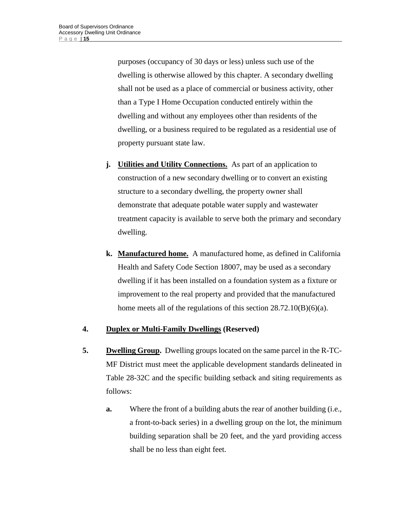purposes (occupancy of 30 days or less) unless such use of the dwelling is otherwise allowed by this chapter. A secondary dwelling shall not be used as a place of commercial or business activity, other than a Type I Home Occupation conducted entirely within the dwelling and without any employees other than residents of the dwelling, or a business required to be regulated as a residential use of property pursuant state law.

- **j. Utilities and Utility Connections.** As part of an application to construction of a new secondary dwelling or to convert an existing structure to a secondary dwelling, the property owner shall demonstrate that adequate potable water supply and wastewater treatment capacity is available to serve both the primary and secondary dwelling.
- **k. Manufactured home.** A manufactured home, as defined in California Health and Safety Code Section 18007, may be used as a secondary dwelling if it has been installed on a foundation system as a fixture or improvement to the real property and provided that the manufactured home meets all of the regulations of this section 28.72.10(B)(6)(a).

# **4. Duplex or Multi-Family Dwellings (Reserved)**

- **5. Dwelling Group.** Dwelling groups located on the same parcel in the R-TC-MF District must meet the applicable development standards delineated in Table 28-32C and the specific building setback and siting requirements as follows:
	- **a.** Where the front of a building abuts the rear of another building (i.e., a front-to-back series) in a dwelling group on the lot, the minimum building separation shall be 20 feet, and the yard providing access shall be no less than eight feet.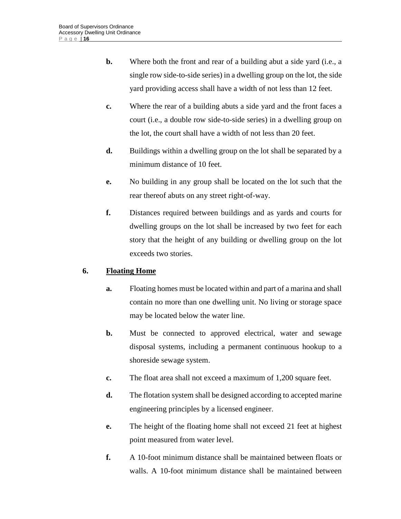- **b.** Where both the front and rear of a building abut a side yard (i.e., a single row side-to-side series) in a dwelling group on the lot, the side yard providing access shall have a width of not less than 12 feet.
- **c.** Where the rear of a building abuts a side yard and the front faces a court (i.e., a double row side-to-side series) in a dwelling group on the lot, the court shall have a width of not less than 20 feet.
- **d.** Buildings within a dwelling group on the lot shall be separated by a minimum distance of 10 feet.
- **e.** No building in any group shall be located on the lot such that the rear thereof abuts on any street right-of-way.
- **f.** Distances required between buildings and as yards and courts for dwelling groups on the lot shall be increased by two feet for each story that the height of any building or dwelling group on the lot exceeds two stories.

# **6. Floating Home**

- **a.** Floating homes must be located within and part of a marina and shall contain no more than one dwelling unit. No living or storage space may be located below the water line.
- **b.** Must be connected to approved electrical, water and sewage disposal systems, including a permanent continuous hookup to a shoreside sewage system.
- **c.** The float area shall not exceed a maximum of 1,200 square feet.
- **d.** The flotation system shall be designed according to accepted marine engineering principles by a licensed engineer.
- **e.** The height of the floating home shall not exceed 21 feet at highest point measured from water level.
- **f.** A 10-foot minimum distance shall be maintained between floats or walls. A 10-foot minimum distance shall be maintained between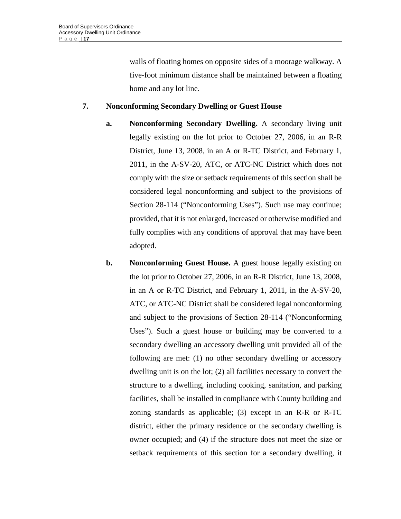walls of floating homes on opposite sides of a moorage walkway. A five-foot minimum distance shall be maintained between a floating home and any lot line.

# **7. Nonconforming Secondary Dwelling or Guest House**

- **a. Nonconforming Secondary Dwelling.** A secondary living unit legally existing on the lot prior to October 27, 2006, in an R-R District, June 13, 2008, in an A or R-TC District, and February 1, 2011, in the A-SV-20, ATC, or ATC-NC District which does not comply with the size or setback requirements of this section shall be considered legal nonconforming and subject to the provisions of Section 28-114 ("Nonconforming Uses"). Such use may continue; provided, that it is not enlarged, increased or otherwise modified and fully complies with any conditions of approval that may have been adopted.
- **b.** Nonconforming Guest House. A guest house legally existing on the lot prior to October 27, 2006, in an R-R District, June 13, 2008, in an A or R-TC District, and February 1, 2011, in the A-SV-20, ATC, or ATC-NC District shall be considered legal nonconforming and subject to the provisions of Section 28-114 ("Nonconforming Uses"). Such a guest house or building may be converted to a secondary dwelling an accessory dwelling unit provided all of the following are met: (1) no other secondary dwelling or accessory dwelling unit is on the lot; (2) all facilities necessary to convert the structure to a dwelling, including cooking, sanitation, and parking facilities, shall be installed in compliance with County building and zoning standards as applicable; (3) except in an R-R or R-TC district, either the primary residence or the secondary dwelling is owner occupied; and (4) if the structure does not meet the size or setback requirements of this section for a secondary dwelling, it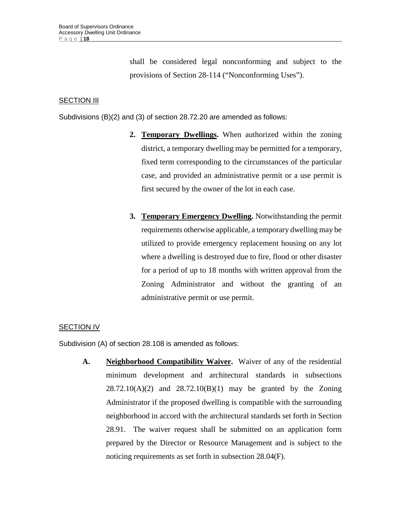shall be considered legal nonconforming and subject to the provisions of Section 28-114 ("Nonconforming Uses").

#### **SECTION III**

Subdivisions (B)(2) and (3) of section 28.72.20 are amended as follows:

- **2. Temporary Dwellings.** When authorized within the zoning district, a temporary dwelling may be permitted for a temporary, fixed term corresponding to the circumstances of the particular case, and provided an administrative permit or a use permit is first secured by the owner of the lot in each case.
- **3. Temporary Emergency Dwelling.** Notwithstanding the permit requirements otherwise applicable, a temporary dwelling may be utilized to provide emergency replacement housing on any lot where a dwelling is destroyed due to fire, flood or other disaster for a period of up to 18 months with written approval from the Zoning Administrator and without the granting of an administrative permit or use permit.

#### **SECTION IV**

Subdivision (A) of section 28.108 is amended as follows:

**A. Neighborhood Compatibility Waiver.** Waiver of any of the residential minimum development and architectural standards in subsections  $28.72.10(A)(2)$  and  $28.72.10(B)(1)$  may be granted by the Zoning Administrator if the proposed dwelling is compatible with the surrounding neighborhood in accord with the architectural standards set forth in Section 28.91. The waiver request shall be submitted on an application form prepared by the Director or Resource Management and is subject to the noticing requirements as set forth in subsection 28.04(F).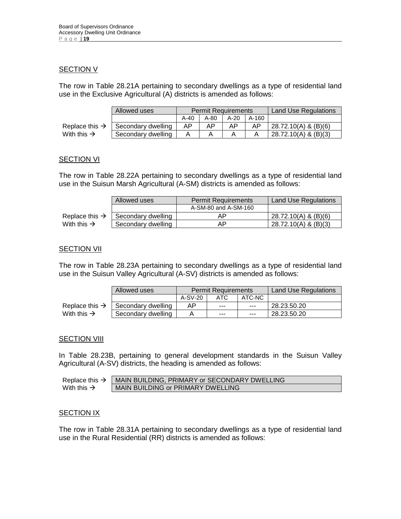#### **SECTION V**

The row in Table 28.21A pertaining to secondary dwellings as a type of residential land use in the Exclusive Agricultural (A) districts is amended as follows:

|                            | Allowed uses       |        | <b>Permit Requirements</b> |      | <b>Land Use Regulations</b> |                        |
|----------------------------|--------------------|--------|----------------------------|------|-----------------------------|------------------------|
|                            |                    | $A-40$ | A-80                       | A-20 | A-160                       |                        |
| Replace this $\rightarrow$ | Secondary dwelling | AΡ     | AΡ                         | AΡ   | AP                          | 28.72.10(A) & (B)(6)   |
| With this $\rightarrow$    | Secondary dwelling |        |                            |      |                             | $28.72.10(A)$ & (B)(3) |

#### **SECTION VI**

The row in Table 28.22A pertaining to secondary dwellings as a type of residential land use in the Suisun Marsh Agricultural (A-SM) districts is amended as follows:

|                            | Allowed uses       | Permit Requirements  | Land Use Regulations |
|----------------------------|--------------------|----------------------|----------------------|
|                            |                    | A-SM-80 and A-SM-160 |                      |
| Replace this $\rightarrow$ | Secondary dwelling | AP.                  | 28.72.10(A) & (B)(6) |
| With this $\rightarrow$    | Secondary dwelling | AP.                  | 28.72.10(A) & (B)(3) |

#### **SECTION VII**

The row in Table 28.23A pertaining to secondary dwellings as a type of residential land use in the Suisun Valley Agricultural (A-SV) districts is amended as follows:

|                            | Allowed uses       |           | Permit Requirements | Land Use Regulations |             |
|----------------------------|--------------------|-----------|---------------------|----------------------|-------------|
|                            |                    | $A-SV-20$ | ATC                 | ATC-NC               |             |
| Replace this $\rightarrow$ | Secondary dwelling | AP        | $- - -$             | $- - -$              | 28.23.50.20 |
| With this $\rightarrow$    | Secondary dwelling |           | $- - -$             | $- - -$              | 28.23.50.20 |

#### **SECTION VIII**

In Table 28.23B, pertaining to general development standards in the Suisun Valley Agricultural (A-SV) districts, the heading is amended as follows:

| Replace this $\rightarrow$ | ' MAIN BUILDING, PRIMARY or SECONDARY DWELLING |
|----------------------------|------------------------------------------------|
| With this $\rightarrow$    | MAIN BUILDING or PRIMARY DWELLING              |

#### **SECTION IX**

The row in Table 28.31A pertaining to secondary dwellings as a type of residential land use in the Rural Residential (RR) districts is amended as follows: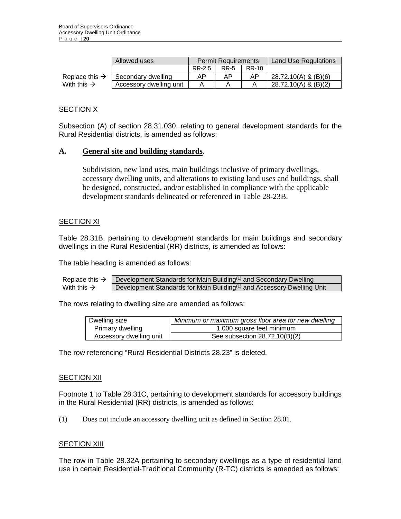|                            | Allowed uses            |        | <b>Permit Requirements</b> |       | <b>Land Use Regulations</b> |
|----------------------------|-------------------------|--------|----------------------------|-------|-----------------------------|
|                            |                         | RR-2.5 | <b>RR-5</b>                | RR-10 |                             |
| Replace this $\rightarrow$ | Secondary dwelling      | AP     | ΑP                         | AP    | 28.72.10(A) & (B)(6)        |
| With this $\rightarrow$    | Accessory dwelling unit |        |                            |       | $28.72.10(A)$ & $(B)(2)$    |

# **SECTION X**

Subsection (A) of section 28.31.030, relating to general development standards for the Rural Residential districts, is amended as follows:

#### **A. General site and building standards**.

Subdivision, new land uses, main buildings inclusive of primary dwellings, accessory dwelling units, and alterations to existing land uses and buildings, shall be designed, constructed, and/or established in compliance with the applicable development standards delineated or referenced in Table 28-23B.

#### SECTION XI

Table 28.31B, pertaining to development standards for main buildings and secondary dwellings in the Rural Residential (RR) districts, is amended as follows:

The table heading is amended as follows:

```
Replace this \rightarrow Development Standards for Main Building<sup>(1)</sup> and Secondary Dwelling
With this \rightarrow Development Standards for Main Building<sup>(1)</sup> and Accessory Dwelling Unit
```
The rows relating to dwelling size are amended as follows:

| Dwelling size           | Minimum or maximum gross floor area for new dwelling |
|-------------------------|------------------------------------------------------|
| Primary dwelling        | 1,000 square feet minimum                            |
| Accessory dwelling unit | See subsection $28.72.10(B)(2)$                      |

The row referencing "Rural Residential Districts 28.23" is deleted.

#### SECTION XII

Footnote 1 to Table 28.31C, pertaining to development standards for accessory buildings in the Rural Residential (RR) districts, is amended as follows:

(1) Does not include an accessory dwelling unit as defined in Section 28.01.

#### **SECTION XIII**

The row in Table 28.32A pertaining to secondary dwellings as a type of residential land use in certain Residential-Traditional Community (R-TC) districts is amended as follows: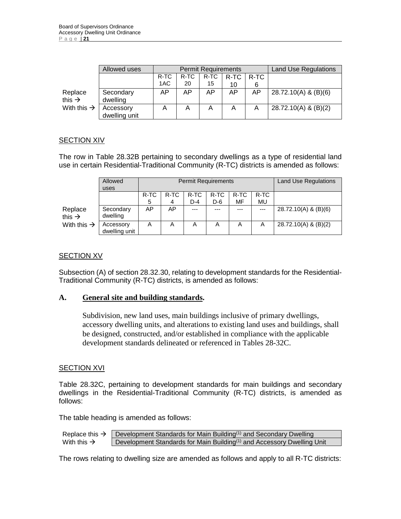|                               | Allowed uses               |      |      | <b>Permit Requirements</b> | <b>Land Use Regulations</b> |      |                        |
|-------------------------------|----------------------------|------|------|----------------------------|-----------------------------|------|------------------------|
|                               |                            | R-TC | R-TC | R-TC                       | R-TC                        | R-TC |                        |
|                               |                            | 1AC  | 20   | 15                         | 10                          | 6    |                        |
| Replace<br>this $\rightarrow$ | Secondary<br>dwelling      | AP   | AP   | AP                         | AP                          | AP   | 28.72.10(A) & (B)(6)   |
| With this $\rightarrow$       | Accessory<br>dwelling unit | A    | A    | A                          | Α                           | A    | $28.72.10(A)$ & (B)(2) |

# **SECTION XIV**

The row in Table 28.32B pertaining to secondary dwellings as a type of residential land use in certain Residential-Traditional Community (R-TC) districts is amended as follows:

|                               | Allowed<br>uses            |      | <b>Permit Requirements</b> | <b>Land Use Regulations</b> |         |         |       |                        |
|-------------------------------|----------------------------|------|----------------------------|-----------------------------|---------|---------|-------|------------------------|
|                               |                            | R-TC | R-TC                       | R-TC                        | R-TC    | R-TC    | R-TC  |                        |
|                               |                            | 5    | 4                          | $D-4$                       | D-6     | MF      | MU    |                        |
| Replace<br>this $\rightarrow$ | Secondary<br>dwelling      | AP   | AP                         | $---$                       | $- - -$ | $- - -$ | $---$ | $28.72.10(A)$ & (B)(6) |
| With this $\rightarrow$       | Accessory<br>dwelling unit | A    | A                          | A                           | A       | A       | A     | 28.72.10(A) & (B)(2)   |

#### **SECTION XV**

Subsection (A) of section 28.32.30, relating to development standards for the Residential-Traditional Community (R-TC) districts, is amended as follows:

#### **A. General site and building standards.**

Subdivision, new land uses, main buildings inclusive of primary dwellings, accessory dwelling units, and alterations to existing land uses and buildings, shall be designed, constructed, and/or established in compliance with the applicable development standards delineated or referenced in Tables 28-32C.

#### SECTION XVI

Table 28.32C, pertaining to development standards for main buildings and secondary dwellings in the Residential-Traditional Community (R-TC) districts, is amended as follows:

The table heading is amended as follows:

| Replace this $\rightarrow$ | Development Standards for Main Building $(1)$ and Secondary Dwelling               |
|----------------------------|------------------------------------------------------------------------------------|
| With this $\rightarrow$    | Development Standards for Main Building <sup>(1)</sup> and Accessory Dwelling Unit |

The rows relating to dwelling size are amended as follows and apply to all R-TC districts: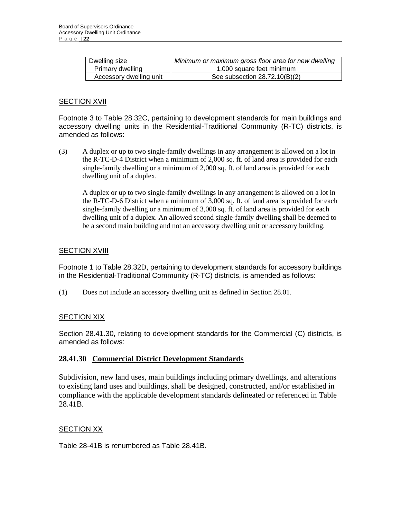| Dwelling size           | Minimum or maximum gross floor area for new dwelling |
|-------------------------|------------------------------------------------------|
| Primary dwelling        | 1,000 square feet minimum                            |
| Accessory dwelling unit | See subsection $28.72.10(B)(2)$                      |

#### **SECTION XVII**

Footnote 3 to Table 28.32C, pertaining to development standards for main buildings and accessory dwelling units in the Residential-Traditional Community (R-TC) districts, is amended as follows:

(3) A duplex or up to two single-family dwellings in any arrangement is allowed on a lot in the R-TC-D-4 District when a minimum of 2,000 sq. ft. of land area is provided for each single-family dwelling or a minimum of 2,000 sq. ft. of land area is provided for each dwelling unit of a duplex.

A duplex or up to two single-family dwellings in any arrangement is allowed on a lot in the R-TC-D-6 District when a minimum of 3,000 sq. ft. of land area is provided for each single-family dwelling or a minimum of 3,000 sq. ft. of land area is provided for each dwelling unit of a duplex. An allowed second single-family dwelling shall be deemed to be a second main building and not an accessory dwelling unit or accessory building.

#### **SECTION XVIII**

Footnote 1 to Table 28.32D, pertaining to development standards for accessory buildings in the Residential-Traditional Community (R-TC) districts, is amended as follows:

(1) Does not include an accessory dwelling unit as defined in Section 28.01.

# **SECTION XIX**

Section 28.41.30, relating to development standards for the Commercial (C) districts, is amended as follows:

# **28.41.30 Commercial District Development Standards**

Subdivision, new land uses, main buildings including primary dwellings, and alterations to existing land uses and buildings, shall be designed, constructed, and/or established in compliance with the applicable development standards delineated or referenced in Table 28.41B.

#### SECTION XX

Table 28-41B is renumbered as Table 28.41B.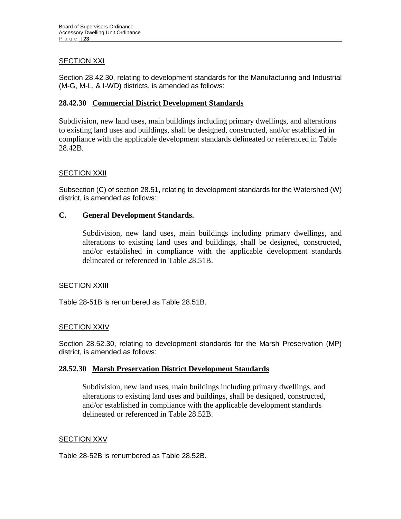# **SECTION XXI**

Section 28.42.30, relating to development standards for the Manufacturing and Industrial (M-G, M-L, & I-WD) districts, is amended as follows:

# **28.42.30 Commercial District Development Standards**

Subdivision, new land uses, main buildings including primary dwellings, and alterations to existing land uses and buildings, shall be designed, constructed, and/or established in compliance with the applicable development standards delineated or referenced in Table 28.42B.

# SECTION XXII

Subsection (C) of section 28.51, relating to development standards for the Watershed (W) district, is amended as follows:

# **C. General Development Standards.**

Subdivision, new land uses, main buildings including primary dwellings, and alterations to existing land uses and buildings, shall be designed, constructed, and/or established in compliance with the applicable development standards delineated or referenced in Table 28.51B.

# SECTION XXIII

Table 28-51B is renumbered as Table 28.51B.

# SECTION XXIV

Section 28.52.30, relating to development standards for the Marsh Preservation (MP) district, is amended as follows:

# **28.52.30 Marsh Preservation District Development Standards**

Subdivision, new land uses, main buildings including primary dwellings, and alterations to existing land uses and buildings, shall be designed, constructed, and/or established in compliance with the applicable development standards delineated or referenced in Table 28.52B.

#### **SECTION XXV**

Table 28-52B is renumbered as Table 28.52B.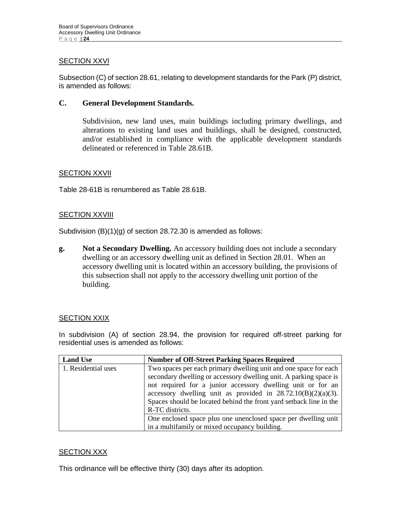# **SECTION XXVI**

Subsection (C) of section 28.61, relating to development standards for the Park (P) district, is amended as follows:

# **C. General Development Standards.**

Subdivision, new land uses, main buildings including primary dwellings, and alterations to existing land uses and buildings, shall be designed, constructed, and/or established in compliance with the applicable development standards delineated or referenced in Table 28.61B.

#### SECTION XXVII

Table 28-61B is renumbered as Table 28.61B.

#### **SECTION XXVIII**

Subdivision (B)(1)(g) of section 28.72.30 is amended as follows:

**g. Not a Secondary Dwelling.** An accessory building does not include a secondary dwelling or an accessory dwelling unit as defined in Section 28.01. When an accessory dwelling unit is located within an accessory building, the provisions of this subsection shall not apply to the accessory dwelling unit portion of the building.

#### **SECTION XXIX**

In subdivision (A) of section 28.94, the provision for required off-street parking for residential uses is amended as follows:

| <b>Land Use</b>     | <b>Number of Off-Street Parking Spaces Required</b>                                                                                                                                                                                                                                                                                                              |
|---------------------|------------------------------------------------------------------------------------------------------------------------------------------------------------------------------------------------------------------------------------------------------------------------------------------------------------------------------------------------------------------|
| 1. Residential uses | Two spaces per each primary dwelling unit and one space for each<br>secondary dwelling or accessory dwelling unit. A parking space is<br>not required for a junior accessory dwelling unit or for an<br>accessory dwelling unit as provided in $28.72.10(B)(2)(a)(3)$ .<br>Spaces should be located behind the front yard setback line in the<br>R-TC districts. |
|                     | One enclosed space plus one unenclosed space per dwelling unit<br>in a multifamily or mixed occupancy building.                                                                                                                                                                                                                                                  |

# SECTION XXX

This ordinance will be effective thirty (30) days after its adoption.